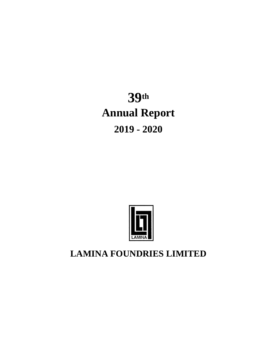**39th Annual Report 2019 - 2020**

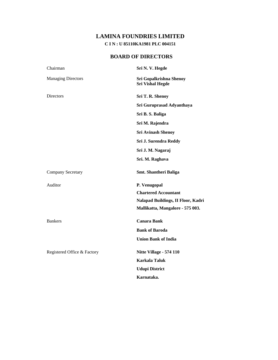# **LAMINA FOUNDRIES LIMITED C I N : U 85110KA1981 PLC 004151**

### **BOARD OF DIRECTORS**

| Chairman                    | Sri N. V. Hegde                                    |
|-----------------------------|----------------------------------------------------|
| <b>Managing Directors</b>   | Sri Gopalkrishna Shenoy<br><b>Sri Vishal Hegde</b> |
| <b>Directors</b>            | Sri T. R. Shenoy                                   |
|                             | Sri Guruprasad Adyanthaya                          |
|                             | Sri B. S. Baliga                                   |
|                             | Sri M. Rajendra                                    |
|                             | <b>Sri Avinash Shenoy</b>                          |
|                             | Sri J. Surendra Reddy                              |
|                             | Sri J. M. Nagaraj                                  |
|                             | Sri. M. Raghava                                    |
| <b>Company Secretary</b>    | Smt. Shantheri Baliga                              |
| Auditor                     | P. Venugopal                                       |
|                             | <b>Chartered Accountant</b>                        |
|                             | Nalapad Buildings, II Floor, Kadri                 |
|                             | Mallikatta, Mangalore - 575 003.                   |
| <b>Bankers</b>              | <b>Canara Bank</b>                                 |
|                             | <b>Bank of Baroda</b>                              |
|                             | <b>Union Bank of India</b>                         |
| Registered Office & Factory | Nitte Village - 574 110                            |
|                             | <b>Karkala Taluk</b>                               |
|                             | <b>Udupi District</b>                              |
|                             | Karnataka.                                         |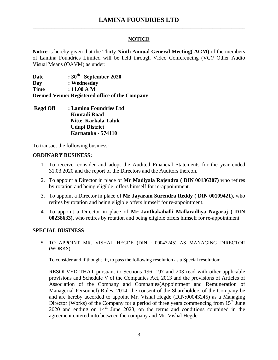# **NOTICE**

**Notice** is hereby given that the Thirty **Ninth Annual General Meeting( AGM)** of the members of Lamina Foundries Limited will be held through Video Conferencing (VC)/ Other Audio Visual Means (OAVM) as under:

**Date** : 30<sup>th</sup> September 2020 **Day : Wednesday Time : 11.00 A M Deemed Venue: Registered office of the Company** 

**Regd Off : Lamina Foundries Ltd Kuntadi Road Nitte, Karkala Taluk Udupi District Karnataka - 574110** 

To transact the following business:

# **ORDINARY BUSINESS:**

- 1. To receive, consider and adopt the Audited Financial Statements for the year ended 31.03.2020 and the report of the Directors and the Auditors thereon.
- 2. To appoint a Director in place of **Mr Madiyala Rajendra ( DIN 00136307)** who retires by rotation and being eligible, offers himself for re-appointment.
- 3. To appoint a Director in place of **Mr Jayaram Surendra Reddy ( DIN 00109421),** who retires by rotation and being eligible offers himself for re-appointment.
- 4. To appoint a Director in place of **Mr Janthakahalli Mallaradhya Nagaraj ( DIN 00238633),** who retires by rotation and being eligible offers himself for re-appointment.

# **SPECIAL BUSINESS**

5. TO APPOINT MR. VISHAL HEGDE (DIN : 00043245) AS MANAGING DIRECTOR (WORKS)

To consider and if thought fit, to pass the following resolution as a Special resolution:

RESOLVED THAT pursuant to Sections 196, 197 and 203 read with other applicable provisions and Schedule V of the Companies Act, 2013 and the provisions of Articles of Association of the Company and Companies(Appointment and Remuneration of Managerial Personnel) Rules, 2014, the consent of the Shareholders of the Company be and are hereby accorded to appoint Mr. Vishal Hegde (DIN:00043245) as a Managing Director (Works) of the Company for a period of three years commencing from  $15<sup>th</sup>$  June 2020 and ending on 14<sup>th</sup> June 2023, on the terms and conditions contained in the agreement entered into between the company and Mr. Vishal Hegde.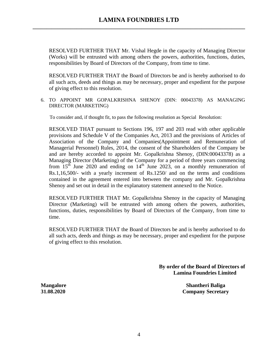RESOLVED FURTHER THAT Mr. Vishal Hegde in the capacity of Managing Director (Works) will be entrusted with among others the powers, authorities, functions, duties, responsibilities by Board of Directors of the Company, from time to time.

RESOLVED FURTHER THAT the Board of Directors be and is hereby authorised to do all such acts, deeds and things as may be necessary, proper and expedient for the purpose of giving effect to this resolution.

6. TO APPOINT MR GOPALKRISHNA SHENOY (DIN: 00043378) AS MANAGING DIRECTOR (MARKETING)

To consider and, if thought fit, to pass the following resolution as Special Resolution:

RESOLVED THAT pursuant to Sections 196, 197 and 203 read with other applicable provisions and Schedule V of the Companies Act, 2013 and the provisions of Articles of Association of the Company and Companies(Appointment and Remuneration of Managerial Personnel) Rules, 2014, the consent of the Shareholders of the Company be and are hereby accorded to appoint Mr. Gopalkrishna Shenoy, (DIN:00043378) as a Managing Director (Marketing) of the Company for a period of three years commencing from  $15<sup>th</sup>$  June 2020 and ending on  $14<sup>th</sup>$  June 2023, on a monthly remuneration of Rs.1,16,500/- with a yearly increment of Rs.1250/ and on the terms and conditions contained in the agreement entered into between the company and Mr. Gopalkrishna Shenoy and set out in detail in the explanatory statement annexed to the Notice.

RESOLVED FURTHER THAT Mr. Gopalkrishna Shenoy in the capacity of Managing Director (Marketing) will be entrusted with among others the powers, authorities, functions, duties, responsibilities by Board of Directors of the Company, from time to time.

RESOLVED FURTHER THAT the Board of Directors be and is hereby authorised to do all such acts, deeds and things as may be necessary, proper and expedient for the purpose of giving effect to this resolution.

> **By order of the Board of Directors of Lamina Foundries Limited**

**Mangalore Shantheri Baliga 31.08.2020 Company Secretary**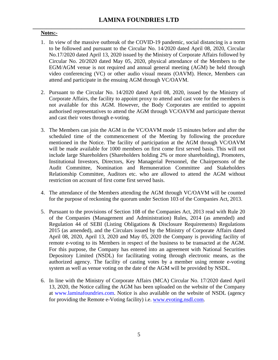# **Notes:-**

- 1. In view of the massive outbreak of the COVID-19 pandemic, social distancing is a norm to be followed and pursuant to the Circular No. 14/2020 dated April 08, 2020, Circular No.17/2020 dated April 13, 2020 issued by the Ministry of Corporate Affairs followed by Circular No. 20/2020 dated May 05, 2020, physical attendance of the Members to the EGM/AGM venue is not required and annual general meeting (AGM) be held through video conferencing (VC) or other audio visual means (OAVM). Hence, Members can attend and participate in the ensuing AGM through VC/OAVM.
- 2. Pursuant to the Circular No. 14/2020 dated April 08, 2020, issued by the Ministry of Corporate Affairs, the facility to appoint proxy to attend and cast vote for the members is not available for this AGM. However, the Body Corporates are entitled to appoint authorised representatives to attend the AGM through VC/OAVM and participate thereat and cast their votes through e-voting.
- 3. The Members can join the AGM in the VC/OAVM mode 15 minutes before and after the scheduled time of the commencement of the Meeting by following the procedure mentioned in the Notice. The facility of participation at the AGM through VC/OAVM will be made available for 1000 members on first come first served basis. This will not include large Shareholders (Shareholders holding 2% or more shareholding), Promoters, Institutional Investors, Directors, Key Managerial Personnel, the Chairpersons of the Audit Committee, Nomination and Remuneration Committee and Stakeholders Relationship Committee, Auditors etc. who are allowed to attend the AGM without restriction on account of first come first served basis.
- 4. The attendance of the Members attending the AGM through VC/OAVM will be counted for the purpose of reckoning the quorum under Section 103 of the Companies Act, 2013.
- 5. Pursuant to the provisions of Section 108 of the Companies Act, 2013 read with Rule 20 of the Companies (Management and Administration) Rules, 2014 (as amended) and Regulation 44 of SEBI (Listing Obligations & Disclosure Requirements) Regulations 2015 (as amended), and the Circulars issued by the Ministry of Corporate Affairs dated April 08, 2020, April 13, 2020 and May 05, 2020 the Company is providing facility of remote e-voting to its Members in respect of the business to be transacted at the AGM. For this purpose, the Company has entered into an agreement with National Securities Depository Limited (NSDL) for facilitating voting through electronic means, as the authorized agency. The facility of casting votes by a member using remote e-voting system as well as venue voting on the date of the AGM will be provided by NSDL.
- 6. In line with the Ministry of Corporate Affairs (MCA) Circular No. 17/2020 dated April 13, 2020, the Notice calling the AGM has been uploaded on the website of the Company at www.laminafoundries.com. Notice is also available on the website of NSDL (agency for providing the Remote e-Voting facility) i.e. www.evoting.nsdl.com.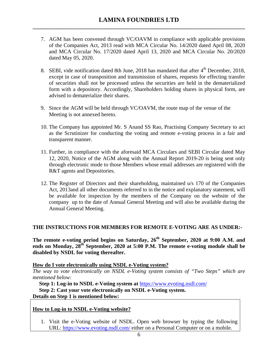- 7. AGM has been convened through VC/OAVM in compliance with applicable provisions of the Companies Act, 2013 read with MCA Circular No. 14/2020 dated April 08, 2020 and MCA Circular No. 17/2020 dated April 13, 2020 and MCA Circular No. 20/2020 dated May 05, 2020.
- 8. SEBI, vide notification dated 8th June, 2018 has mandated that after  $4<sup>th</sup>$  December, 2018, except in case of transposition and transmission of shares, requests for effecting transfer of securities shall not be processed unless the securities are held in the dematerialized form with a depository. Accordingly, Shareholders holding shares in physical form, are advised to dematerialize their shares.
- 9. Since the AGM will be held through VC/OAVM, the route map of the venue of the Meeting is not annexed hereto.
- 10. The Company has appointed Mr. S Anand SS Rao, Practising Company Secretary to act as the Scrutinizer for conducting the voting and remote e-voting process in a fair and transparent manner.
- 11. Further, in compliance with the aforesaid MCA Circulars and SEBI Circular dated May 12, 2020, Notice of the AGM along with the Annual Report 2019-20 is being sent only through electronic mode to those Members whose email addresses are registered with the R&T agents and Depositories.
- 12. The Register of Directors and their shareholding, maintained u/s 170 of the Companies Act, 2013and all other documents referred to in the notice and explanatory statement, will be available for inspection by the members of the Company on the website of the company up to the date of Annual General Meeting and will also be available during the Annual General Meeting.

# **THE INSTRUCTIONS FOR MEMBERS FOR REMOTE E-VOTING ARE AS UNDER:-**

**The remote e-voting period begins on Saturday, 26th September, 2020 at 9:00 A.M. and ends on Monday, 28th September, 2020 at 5:00 P.M. The remote e-voting module shall be disabled by NSDL for voting thereafter.** 

**How do I vote electronically using NSDL e-Voting system?**

*The way to vote electronically on NSDL e-Voting system consists of "Two Steps" which are mentioned below:* 

**Step 1: Log-in to NSDL e-Voting system at** https://www.evoting.nsdl.com/ **Step 2: Cast your vote electronically on NSDL e-Voting system. Details on Step 1 is mentioned below:** 

# **How to Log-in to NSDL e-Voting website?**

1. Visit the e-Voting website of NSDL. Open web browser by typing the following URL: https://www.evoting.nsdl.com/ either on a Personal Computer or on a mobile.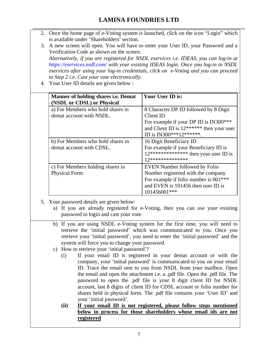- 2. Once the home page of e-Voting system is launched, click on the icon "Login" which is available under 'Shareholders' section.
- 3. A new screen will open. You will have to enter your User ID, your Password and a Verification Code as shown on the screen. *Alternatively, if you are registered for NSDL eservices i.e. IDEAS, you can log-in at https://eservices.nsdl.com/ with your existing IDEAS login. Once you log-in to NSDL eservices after using your log-in credentials, click on e-Voting and you can proceed to Step 2 i.e. Cast your vote electronically.*
- 4. Your User ID details are given below :

| <b>Manner of holding shares i.e. Demat</b> | Your User ID is:                                  |
|--------------------------------------------|---------------------------------------------------|
| (NSDL or CDSL) or Physical                 |                                                   |
| a) For Members who hold shares in          | 8 Character DP ID followed by 8 Digit             |
| demat account with NSDL.                   | Client ID                                         |
|                                            | For example if your DP ID is IN300***             |
|                                            | and Client ID is $12******$ then your user        |
|                                            | ID is IN300***12******.                           |
| b) For Members who hold shares in          | 16 Digit Beneficiary ID                           |
| demat account with CDSL.                   | For example if your Beneficiary ID is             |
|                                            | 12************** then your user ID is             |
|                                            | 17**************                                  |
| c) For Members holding shares in           | <b>EVEN Number followed by Folio</b>              |
| Physical Form.                             | Number registered with the company                |
|                                            | For example if folio number is 001 <sup>***</sup> |
|                                            | and EVEN is 101456 then user ID is                |
|                                            | 101456001***                                      |

- 5. Your password details are given below:
	- a) If you are already registered for e-Voting, then you can use your existing password to login and cast your vote.
	- b) If you are using NSDL e-Voting system for the first time, you will need to retrieve the 'initial password' which was communicated to you. Once you retrieve your 'initial password', you need to enter the 'initial password' and the system will force you to change your password.
	- c) How to retrieve your 'initial password'?
		- (i) If your email ID is registered in your demat account or with the company, your 'initial password' is communicated to you on your email ID. Trace the email sent to you from NSDL from your mailbox. Open the email and open the attachment i.e. a .pdf file. Open the .pdf file. The password to open the .pdf file is your 8 digit client ID for NSDL account, last 8 digits of client ID for CDSL account or folio number for shares held in physical form. The .pdf file contains your 'User ID' and your 'initial password'.
		- **(ii) If your email ID is not registered, please follow steps mentioned below in process for those shareholders whose email ids are not registered**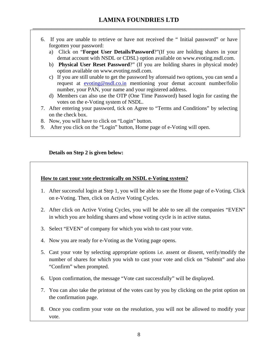- 6. If you are unable to retrieve or have not received the " Initial password" or have forgotten your password:
	- a) Click on "**Forgot User Details/Password**?"(If you are holding shares in your demat account with NSDL or CDSL) option available on www.evoting.nsdl.com.
	- b) **Physical User Reset Password**?" (If you are holding shares in physical mode) option available on www.evoting.nsdl.com.
	- c) If you are still unable to get the password by aforesaid two options, you can send a request at evoting@nsdl.co.in mentioning your demat account number/folio number, your PAN, your name and your registered address.
	- d) Members can also use the OTP (One Time Password) based login for casting the votes on the e-Voting system of NSDL.
- 7. After entering your password, tick on Agree to "Terms and Conditions" by selecting on the check box.
- 8. Now, you will have to click on "Login" button.
- 9. After you click on the "Login" button, Home page of e-Voting will open.

# **Details on Step 2 is given below:**

## **How to cast your vote electronically on NSDL e-Voting system?**

- 1. After successful login at Step 1, you will be able to see the Home page of e-Voting. Click on e-Voting. Then, click on Active Voting Cycles.
- 2. After click on Active Voting Cycles, you will be able to see all the companies "EVEN" in which you are holding shares and whose voting cycle is in active status.
- 3. Select "EVEN" of company for which you wish to cast your vote.
- 4. Now you are ready for e-Voting as the Voting page opens.
- 5. Cast your vote by selecting appropriate options i.e. assent or dissent, verify/modify the number of shares for which you wish to cast your vote and click on "Submit" and also "Confirm" when prompted.
- 6. Upon confirmation, the message "Vote cast successfully" will be displayed.
- 7. You can also take the printout of the votes cast by you by clicking on the print option on the confirmation page.
- 8. Once you confirm your vote on the resolution, you will not be allowed to modify your vote.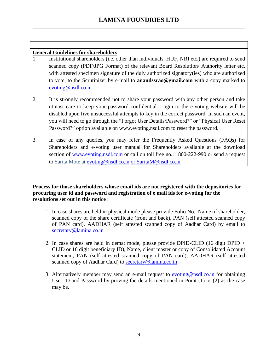# **General Guidelines for shareholders**

- 1 Institutional shareholders (i.e. other than individuals, HUF, NRI etc.) are required to send scanned copy (PDF/JPG Format) of the relevant Board Resolution/ Authority letter etc. with attested specimen signature of the duly authorized signatory(ies) who are authorized to vote, to the Scrutinizer by e-mail to **anandssrao@gmail.com** with a copy marked to evoting@nsdl.co.in.
- 2. It is strongly recommended not to share your password with any other person and take utmost care to keep your password confidential. Login to the e-voting website will be disabled upon five unsuccessful attempts to key in the correct password. In such an event, you will need to go through the "Forgot User Details/Password?" or "Physical User Reset Password?" option available on www.evoting.nsdl.com to reset the password.
- 3. In case of any queries, you may refer the Frequently Asked Questions (FAQs) for Shareholders and e-voting user manual for Shareholders available at the download section of www.evoting.nsdl.com or call on toll free no.: 1800-222-990 or send a request to Sarita Mote at evoting@nsdl.co.in or SaritaM@nsdl.co.in

### **Process for those shareholders whose email ids are not registered with the depositories for procuring user id and password and registration of e mail ids for e-voting for the resolutions set out in this notice** :

- 1. In case shares are held in physical mode please provide Folio No., Name of shareholder, scanned copy of the share certificate (front and back), PAN (self attested scanned copy of PAN card), AADHAR (self attested scanned copy of Aadhar Card) by email to secretary@lamina.co.in
- 2. In case shares are held in demat mode, please provide DPID-CLID (16 digit DPID + CLID or 16 digit beneficiary ID), Name, client master or copy of Consolidated Account statement, PAN (self attested scanned copy of PAN card), AADHAR (self attested scanned copy of Aadhar Card) to secretary@lamina.co.in
- 3. Alternatively member may send an e-mail request to evoting@nsdl.co.in for obtaining User ID and Password by proving the details mentioned in Point (1) or (2) as the case may be.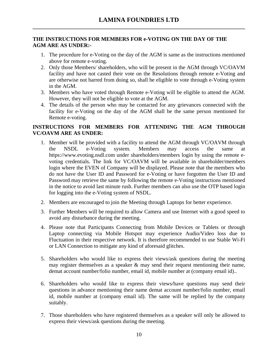# **THE INSTRUCTIONS FOR MEMBERS FOR e-VOTING ON THE DAY OF THE AGM ARE AS UNDER:-**

- 1. The procedure for e-Voting on the day of the AGM is same as the instructions mentioned above for remote e-voting.
- 2. Only those Members/ shareholders, who will be present in the AGM through VC/OAVM facility and have not casted their vote on the Resolutions through remote e-Voting and are otherwise not barred from doing so, shall be eligible to vote through e-Voting system in the AGM.
- 3. Members who have voted through Remote e-Voting will be eligible to attend the AGM. However, they will not be eligible to vote at the AGM.
- 4. The details of the person who may be contacted for any grievances connected with the facility for e-Voting on the day of the AGM shall be the same person mentioned for Remote e-voting.

# **INSTRUCTIONS FOR MEMBERS FOR ATTENDING THE AGM THROUGH VC/OAVM ARE AS UNDER:**

- 1. Member will be provided with a facility to attend the AGM through VC/OAVM through the NSDL e-Voting system. Members may access the same at https://www.evoting.nsdl.com under shareholders/members login by using the remote evoting credentials. The link for VC/OAVM will be available in shareholder/members login where the EVEN of Company will be displayed. Please note that the members who do not have the User ID and Password for e-Voting or have forgotten the User ID and Password may retrieve the same by following the remote e-Voting instructions mentioned in the notice to avoid last minute rush. Further members can also use the OTP based login for logging into the e-Voting system of NSDL.
- 2. Members are encouraged to join the Meeting through Laptops for better experience.
- 3. Further Members will be required to allow Camera and use Internet with a good speed to avoid any disturbance during the meeting.
- 4. Please note that Participants Connecting from Mobile Devices or Tablets or through Laptop connecting via Mobile Hotspot may experience Audio/Video loss due to Fluctuation in their respective network. It is therefore recommended to use Stable Wi-Fi or LAN Connection to mitigate any kind of aforesaid glitches.
- 5. Shareholders who would like to express their views/ask questions during the meeting may register themselves as a speaker & may send their request mentioning their name, demat account number/folio number, email id, mobile number at (company email id)..
- 6. Shareholders who would like to express their views/have questions may send their questions in advance mentioning their name demat account number/folio number, email id, mobile number at (company email id). The same will be replied by the company suitably.
- 7. Those shareholders who have registered themselves as a speaker will only be allowed to express their views/ask questions during the meeting.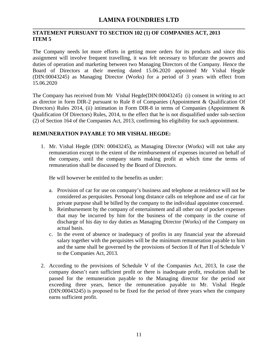### **STATEMENT PURSUANT TO SECTION 102 (1) OF COMPANIES ACT, 2013 ITEM 5**

The Company needs lot more efforts in getting more orders for its products and since this assignment will involve frequent travelling, it was felt necessary to bifurcate the powers and duties of operation and marketing between two Managing Directors of the Company. Hence the Board of Directors at their meeting dated 15.06.2020 appointed Mr Vishal Hegde (DIN:00043245) as Managing Director (Works) for a period of 3 years with effect from 15.06.2020

The Company has received from Mr Vishal Hegde(DIN:00043245) (i) consent in writing to act as director in form DIR-2 pursuant to Rule 8 of Companies (Appointment & Qualification Of Directors) Rules 2014, (ii) intimation in Form DIR-8 in terms of Companies (Appointment & Qualification Of Directors) Rules, 2014, to the effect that he is not disqualified under sub-section (2) of Section 164 of the Companies Act, 2013, confirming his eligibility for such appointment.

# **REMUNERATION PAYABLE TO MR VISHAL HEGDE:**

1. Mr. Vishal Hegde (DIN: 00043245), as Managing Director (Works) will not take any remuneration except to the extent of the reimbursement of expenses incurred on behalf of the company, until the company starts making profit at which time the terms of remuneration shall be discussed by the Board of Directors.

He will however be entitled to the benefits as under:

- a. Provision of car for use on company's business and telephone at residence will not be considered as perquisites. Personal long distance calls on telephone and use of car for private purpose shall be billed by the company to the individual appointee concerned.
- b. Reimbursement by the company of entertainment and all other out of pocket expenses that may be incurred by him for the business of the company in the course of discharge of his day to day duties as Managing Director (Works) of the Company on actual basis.
- c. In the event of absence or inadequacy of profits in any financial year the aforesaid salary together with the perquisites will be the minimum remuneration payable to him and the same shall be governed by the provisions of Section II of Part II of Schedule V to the Companies Act, 2013.
- 2. According to the provisions of Schedule V of the Companies Act, 2013, In case the company doesn't earn sufficient profit or there is inadequate profit, resolution shall be passed for the remuneration payable to the Managing director for the period not exceeding three years, hence the remuneration payable to Mr. Vishal Hegde (DIN:00043245) is proposed to be fixed for the period of three years when the company earns sufficient profit.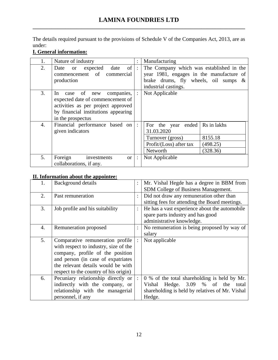The details required pursuant to the provisions of Schedule V of the Companies Act, 2013, are as under:

# **I. General information:**

| 1. | Nature of industry                                                                                                                                                           |                             | Manufacturing                                                                                                                                        |
|----|------------------------------------------------------------------------------------------------------------------------------------------------------------------------------|-----------------------------|------------------------------------------------------------------------------------------------------------------------------------------------------|
| 2. | of<br>expected<br>date<br>Date or<br>commencement of commercial<br>production                                                                                                |                             | The Company which was established in the<br>year 1981, engages in the manufacture of<br>brake drums, fly wheels, oil sumps &<br>industrial castings. |
| 3. | case of new<br><i>In</i><br>companies,<br>expected date of commencement of<br>activities as per project approved<br>by financial institutions appearing<br>in the prospectus |                             | Not Applicable                                                                                                                                       |
| 4. | Financial performance based on<br>given indicators                                                                                                                           | $\mathcal{L}_{\mathcal{A}}$ | Rs in lakhs<br>For the year ended<br>31.03.2020<br>8155.18<br>Turnover (gross)<br>Profit/(Loss) after tax<br>(498.25)<br>(328.36)<br>Networth        |
| 5. | Foreign<br>investments<br><sub>or</sub><br>collaborations, if any.                                                                                                           |                             | Not Applicable                                                                                                                                       |

# **II. Information about the appointee:**

| 1. | <b>Background details</b>             | Mr. Vishal Hegde has a degree in BBM from       |
|----|---------------------------------------|-------------------------------------------------|
|    |                                       | SDM College of Business Management.             |
| 2. | Past remuneration                     | Did not draw any remuneration other than        |
|    |                                       | sitting fees for attending the Board meetings.  |
| 3. | Job profile and his suitability       | He has a vast experience about the automobile   |
|    |                                       | spare parts industry and has good               |
|    |                                       | administrative knowledge.                       |
| 4. | Remuneration proposed                 | No remuneration is being proposed by way of     |
|    |                                       | salary                                          |
| 5. | Comparative remuneration profile      | Not applicable                                  |
|    | with respect to industry, size of the |                                                 |
|    | company, profile of the position      |                                                 |
|    | and person (in case of expatriates    |                                                 |
|    | the relevant details would be with    |                                                 |
|    |                                       |                                                 |
|    | respect to the country of his origin) |                                                 |
| 6. | Pecuniary relationship directly or    | 0 % of the total shareholding is held by Mr.    |
|    | indirectly with the company, or       | of the<br>Hedge. 3.09 %<br>Vishal<br>total      |
|    | relationship with the managerial      | shareholding is held by relatives of Mr. Vishal |
|    | personnel, if any                     | Hedge.                                          |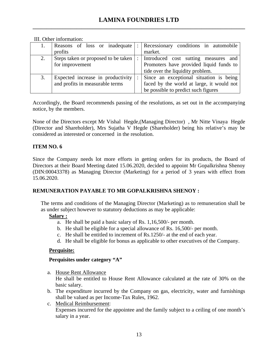|    | Reasons of loss or inadequate       | $\ddot{\cdot}$ | Recessionary conditions in automobile     |
|----|-------------------------------------|----------------|-------------------------------------------|
|    | profits                             |                | market.                                   |
| 2. | Steps taken or proposed to be taken |                | : Introduced cost sutting measures and    |
|    | for improvement                     |                | Promoters have provided liquid funds to   |
|    |                                     |                | tide over the liquidity problem.          |
|    | Expected increase in productivity   | $\ddot{\cdot}$ | Since an exceptional situation is being   |
|    | and profits in measurable terms     |                | faced by the world at large, it would not |
|    |                                     |                | be possible to predict such figures       |

Accordingly, the Board recommends passing of the resolutions, as set out in the accompanying notice, by the members.

None of the Directors except Mr Vishal Hegde,(Managing Director) , Mr Nitte Vinaya Hegde (Director and Shareholder), Mrs Sujatha V Hegde (Shareholder) being his relative's may be considered as interested or concerned in the resolution.

# **ITEM NO. 6**

Since the Company needs lot more efforts in getting orders for its products, the Board of Directors at their Board Meeting dated 15.06.2020, decided to appoint Mr Gopalkrishna Shenoy (DIN:00043378) as Managing Director (Marketing) for a period of 3 years with effect from 15.06.2020.

# **REMUNERATION PAYABLE TO MR GOPALKRISHNA SHENOY :**

The terms and conditions of the Managing Director (Marketing) as to remuneration shall be as under subject however to statutory deductions as may be applicable:

# **Salary :**

- a. He shall be paid a basic salary of Rs. 1,16,500/- per month.
- b. He shall be eligible for a special allowance of Rs. 16,500/- per month.
- c. He shall be entitled to increment of Rs.1250/- at the end of each year.
- d. He shall be eligible for bonus as applicable to other executives of the Company.

# **Perquisite:**

# **Perquisites under category "A"**

a. House Rent Allowance

He shall be entitled to House Rent Allowance calculated at the rate of 30% on the basic salary.

- b. The expenditure incurred by the Company on gas, electricity, water and furnishings shall be valued as per Income-Tax Rules, 1962.
- c. Medical Reimbursement: Expenses incurred for the appointee and the family subject to a ceiling of one month's salary in a year.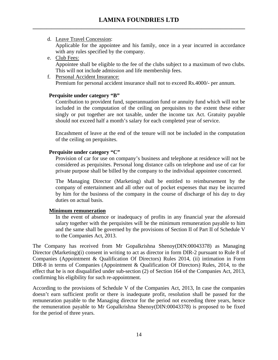d. Leave Travel Concession:

Applicable for the appointee and his family, once in a year incurred in accordance with any rules specified by the company.

- e. Club Fees: Appointee shall be eligible to the fee of the clubs subject to a maximum of two clubs. This will not include admission and life membership fees.
- f. Personal Accident Insurance: Premium for personal accident insurance shall not to exceed Rs.4000/- per annum.

# **Perquisite under category "B"**

Contribution to provident fund, superannuation fund or annuity fund which will not be included in the computation of the ceiling on perquisites to the extent these either singly or put together are not taxable, under the income tax Act. Gratuity payable should not exceed half a month's salary for each completed year of service.

Encashment of leave at the end of the tenure will not be included in the computation of the ceiling on perquisites.

# **Perquisite under category "C"**

Provision of car for use on company's business and telephone at residence will not be considered as perquisites. Personal long distance calls on telephone and use of car for private purpose shall be billed by the company to the individual appointee concerned.

The Managing Director (Marketing) shall be entitled to reimbursement by the company of entertainment and all other out of pocket expenses that may be incurred by him for the business of the company in the course of discharge of his day to day duties on actual basis.

# **Minimum remuneration**

In the event of absence or inadequacy of profits in any financial year the aforesaid salary together with the perquisites will be the minimum remuneration payable to him and the same shall be governed by the provisions of Section II of Part II of Schedule V to the Companies Act, 2013.

The Company has received from Mr Gopalkrishna Shenoy(DIN:00043378) as Managing Director (Marketing)(i) consent in writing to act as director in form DIR-2 pursuant to Rule 8 of Companies (Appointment & Qualification Of Directors) Rules 2014, (ii) intimation in Form DIR-8 in terms of Companies (Appointment & Qualification Of Directors) Rules, 2014, to the effect that he is not disqualified under sub-section (2) of Section 164 of the Companies Act, 2013, confirming his eligibility for such re-appointment.

According to the provisions of Schedule V of the Companies Act, 2013, In case the companies doesn't earn sufficient profit or there is inadequate profit, resolution shall be passed for the remuneration payable to the Managing director for the period not exceeding three years, hence the remuneration payable to Mr Gopalkrishna Shenoy(DIN:00043378) is proposed to be fixed for the period of three years.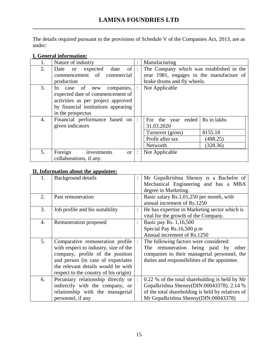The details required pursuant to the provisions of Schedule V of the Companies Act, 2013, are as under:

# **I. General information:**

| 1. | Nature of industry                                                                                                                                                       | Manufacturing                                                                        |                                                |
|----|--------------------------------------------------------------------------------------------------------------------------------------------------------------------------|--------------------------------------------------------------------------------------|------------------------------------------------|
| 2. | of<br>Date or expected date                                                                                                                                              | The Company which was established in the                                             |                                                |
|    | commencement of commercial                                                                                                                                               | year 1981, engages in the manufacture of                                             |                                                |
|    | production                                                                                                                                                               | brake drums and fly wheels.                                                          |                                                |
| 3. | case of new<br>companies,<br>$\ln$<br>expected date of commencement of<br>activities as per project approved<br>by financial institutions appearing<br>in the prospectus | Not Applicable                                                                       |                                                |
| 4. | Financial performance based on<br>given indicators                                                                                                                       | For the year ended<br>31.03.2020<br>Turnover (gross)<br>Profit after tax<br>Networth | Rs in lakhs<br>8155.18<br>(498.25)<br>(328.36) |
| 5. | Foreign<br>investments<br><sub>or</sub><br>collaborations, if any.                                                                                                       | Not Applicable                                                                       |                                                |

# **II. Information about the appointee:**

| 1.             | Background details                                                                                                                                                                                                                  | Mr Gopalkrishna Shenoy is a Bachelor of<br>Mechanical Engineering and has a MBA<br>degree in Marketing.                                                                                  |
|----------------|-------------------------------------------------------------------------------------------------------------------------------------------------------------------------------------------------------------------------------------|------------------------------------------------------------------------------------------------------------------------------------------------------------------------------------------|
| 2.             | Past remuneration                                                                                                                                                                                                                   | Basic salary Rs.1,01,250 per month, with<br>annual increment of Rs.1250                                                                                                                  |
| 3.             | Job profile and his suitability                                                                                                                                                                                                     | He has expertise in Marketing sector which is<br>vital for the growth of the Company.                                                                                                    |
| 4.             | Remuneration proposed                                                                                                                                                                                                               | Basic pay Rs. 1,16,500<br>Special Pay Rs.16,500 p.m<br>Annual increment of Rs.1250                                                                                                       |
| 5 <sub>1</sub> | Comparative remuneration profile<br>with respect to industry, size of the<br>company, profile of the position<br>and person (in case of expatriates)<br>the relevant details would be with<br>respect to the country of his origin) | The following factors were considered:<br>The remuneration being paid by<br>other<br>companies to their managerial personnel, the<br>duties and responsibilities of the appointee.       |
| 6.             | Pecuniary relationship directly or<br>indirectly with the company, or<br>relationship with the managerial<br>personnel, if any                                                                                                      | 0.22 % of the total shareholding is held by Mr<br>Gopalkrishna Shenoy(DIN:00043378). 2.14 %<br>of the total shareholding is held by relatives of<br>Mr Gopalkrishna Shenoy(DIN:00043378) |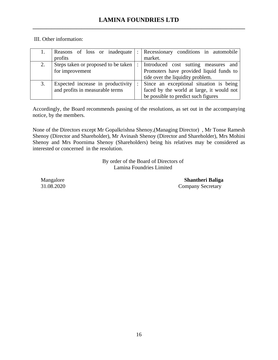# III. Other information:

|    | Reasons of loss or inadequate<br>profits | $\ddot{\cdot}$ | Recessionary conditions in automobile<br>market. |
|----|------------------------------------------|----------------|--------------------------------------------------|
| 2. | Steps taken or proposed to be taken      |                | : Introduced cost sutting measures and           |
|    | for improvement                          |                | Promoters have provided liquid funds to          |
|    |                                          |                | tide over the liquidity problem.                 |
|    | Expected increase in productivity        | $\ddot{\cdot}$ | Since an exceptional situation is being          |
|    | and profits in measurable terms          |                | faced by the world at large, it would not        |
|    |                                          |                | be possible to predict such figures              |

Accordingly, the Board recommends passing of the resolutions, as set out in the accompanying notice, by the members.

None of the Directors except Mr Gopalkrishna Shenoy,(Managing Director) , Mr Tonse Ramesh Shenoy (Director and Shareholder), Mr Avinash Shenoy (Director and Shareholder), Mrs Mohini Shenoy and Mrs Poornima Shenoy (Shareholders) being his relatives may be considered as interested or concerned in the resolution.

> By order of the Board of Directors of Lamina Foundries Limited

Mangalore **Shantheri Baliga**  31.08.2020 Company Secretary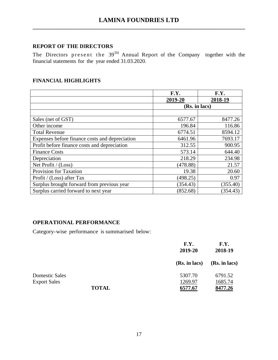# **REPORT OF THE DIRECTORS**

The Directors present the  $39<sup>TH</sup>$  Annual Report of the Company together with the financial statements for the year ended 31.03.2020.

# **FINANCIAL HIGHLIGHTS**

|                                                | F.Y.          | F.Y.     |
|------------------------------------------------|---------------|----------|
|                                                | 2019-20       | 2018-19  |
|                                                | (Rs. in lacs) |          |
|                                                |               |          |
| Sales (net of GST)                             | 6577.67       | 8477.26  |
| Other income                                   | 196.84        | 116.86   |
| <b>Total Revenue</b>                           | 6774.51       | 8594.12  |
| Expenses before finance costs and depreciation | 6461.96       | 7693.17  |
| Profit before finance costs and depreciation   | 312.55        | 900.95   |
| <b>Finance Costs</b>                           | 573.14        | 644.40   |
| Depreciation                                   | 218.29        | 234.98   |
| Net Profit / (Loss)                            | (478.88)      | 21.57    |
| Provision for Taxation                         | 19.38         | 20.60    |
| Profit / (Loss) after Tax                      | (498.25)      | 0.97     |
| Surplus brought forward from previous year     | (354.43)      | (355.40) |
| Surplus carried forward to next year           | (852.68)      | (354.43) |

# **OPERATIONAL PERFORMANCE**

Category-wise performance is summarised below:

|                       | F.Y.<br>2019-20 | F.Y.<br>2018-19 |  |
|-----------------------|-----------------|-----------------|--|
|                       | (Rs. in lacs)   | (Rs. in lacs)   |  |
| <b>Domestic Sales</b> | 5307.70         | 6791.52         |  |
| <b>Export Sales</b>   | 1269.97         | 1685.74         |  |
| <b>TOTAL</b>          | 6577.67         | 8477.26         |  |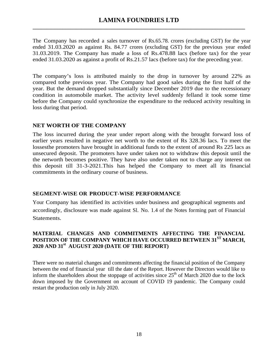The Company has recorded a sales turnover of Rs.65.78. crores (excluding GST) for the year ended 31.03.2020 as against Rs. 84.77 crores (excluding GST) for the previous year ended 31.03.2019. The Company has made a loss of Rs.478.88 lacs (before tax) for the year ended 31.03.2020 as against a profit of Rs.21.57 lacs (before tax) for the preceding year.

The company's loss is attributed mainly to the drop in turnover by around 22% as compared tothe previous year. The Company had good sales during the first half of the year. But the demand dropped substantially since December 2019 due to the recessionary condition in automobile market. The activity level suddenly felland it took some time before the Company could synchronize the expenditure to the reduced activity resulting in loss during that period.

# **NET WORTH OF THE COMPANY**

The loss incurred during the year under report along with the brought forward loss of earlier years resulted in negative net worth to the extent of Rs 328.36 lacs. To meet the lossesthe promoters have brought in additional funds to the extent of around Rs 225 lacs as unsecured deposit. The promoters have under taken not to withdraw this deposit until the the networth becomes positive. They have also under taken not to charge any interest on this deposit till 31-3-2021.This has helped the Company to meet all its financial commitments in the ordinary course of business.

# **SEGMENT-WISE OR PRODUCT-WISE PERFORMANCE**

Your Company has identified its activities under business and geographical segments and accordingly, disclosure was made against Sl. No. 1.4 of the Notes forming part of Financial Statements.

# **MATERIAL CHANGES AND COMMITMENTS AFFECTING THE FINANCIAL**  POSITION OF THE COMPANY WHICH HAVE OCCURRED BETWEEN 31<sup>ST</sup> MARCH, **2020 AND 31st AUGUST 2020 (DATE OF THE REPORT)**

There were no material changes and commitments affecting the financial position of the Company between the end of financial year till the date of the Report. However the Directors would like to inform the shareholders about the stoppage of activities since  $25<sup>th</sup>$  of March 2020 due to the lock down imposed by the Government on account of COVID 19 pandemic. The Company could restart the production only in July 2020.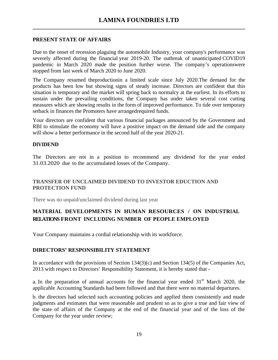# **PRESENT STATE OF AFFAIRS**

Due to the onset of recession plaguing the automobile Industry, your company's performance was severely affected during the financial year 2019-20. The outbreak of unanticipated COVID19 pandemic in March 2020 made the position further worse. The company's operationswere stopped from last week of March 2020 to June 2020.

The Company resumed theproductionin a limited scale since July 2020.The demand for the products has been low but showing signs of steady increase. Directors are confident that this situation is temporary and the market will spring back to normalcy at the earliest. In its efforts to sustain under the prevailing conditions, the Company has under taken several cost cutting measures which are showing results in the form of improved performance. To tide over temporary setback in finances the Promoters have arrangedrequired funds.

Your directors are confident that various financial packages announced by the Government and RBI to stimulate the economy will have a positive impact on the demand side and the company will show a better performance in the second half of the year 2020-21.

### **DIVIDEND**

The Directors are not in a position to recommend any dividend for the year ended 31.03.2020 due to the accumulated losses of the Company.

# **TRANSFER OF UNCLAIMED DIVIDEND TO INVESTOR EDUCTION AND PROTECTION FUND**

There was no unpaid/unclaimed dividend during last year

# **MATERIAL DEVELOPMENTS IN HUMAN RESOURCES / ON INDUSTRIAL RELATIONS FRONT INCLUDING NUMBER OF PEOPLE EMPLOYED**

Your Company maintains a cordial relationship with its workforce.

# **DIRECTORS' RESPONSIBILITY STATEMENT**

In accordance with the provisions of Section 134(3)(c) and Section 134(5) of the Companies Act, 2013 with respect to Directors' Responsibility Statement, it is hereby stated that -

a. In the preparation of annual accounts for the financial year ended  $31<sup>st</sup>$  March 2020, the applicable Accounting Standards had been followed and that there were no material departures.

b. the directors had selected such accounting policies and applied them consistently and made judgments and estimates that were reasonable and prudent so as to give a true and fair view of the state of affairs of the Company at the end of the financial year and of the loss of the Company for the year under review;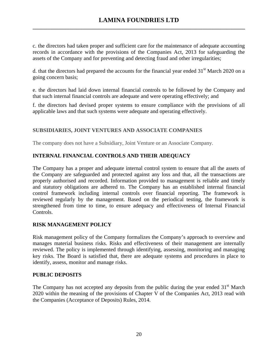c. the directors had taken proper and sufficient care for the maintenance of adequate accounting records in accordance with the provisions of the Companies Act, 2013 for safeguarding the assets of the Company and for preventing and detecting fraud and other irregularities;

d. that the directors had prepared the accounts for the financial year ended  $31<sup>st</sup>$  March 2020 on a going concern basis;

e. the directors had laid down internal financial controls to be followed by the Company and that such internal financial controls are adequate and were operating effectively; and

f. the directors had devised proper systems to ensure compliance with the provisions of all applicable laws and that such systems were adequate and operating effectively.

# **SUBSIDIARIES, JOINT VENTURES AND ASSOCIATE COMPANIES**

The company does not have a Subsidiary, Joint Venture or an Associate Company.

# **INTERNAL FINANCIAL CONTROLS AND THEIR ADEQUACY**

The Company has a proper and adequate internal control system to ensure that all the assets of the Company are safeguarded and protected against any loss and that, all the transactions are properly authorised and recorded. Information provided to management is reliable and timely and statutory obligations are adhered to. The Company has an established internal financial control framework including internal controls over financial reporting. The framework is reviewed regularly by the management. Based on the periodical testing, the framework is strengthened from time to time, to ensure adequacy and effectiveness of Internal Financial Controls.

# **RISK MANAGEMENT POLICY**

Risk management policy of the Company formalizes the Company's approach to overview and manages material business risks. Risks and effectiveness of their management are internally reviewed. The policy is implemented through identifying, assessing, monitoring and managing key risks. The Board is satisfied that, there are adequate systems and procedures in place to identify, assess, monitor and manage risks.

# **PUBLIC DEPOSITS**

The Company has not accepted any deposits from the public during the year ended  $31<sup>st</sup>$  March 2020 within the meaning of the provisions of Chapter V of the Companies Act, 2013 read with the Companies (Acceptance of Deposits) Rules, 2014.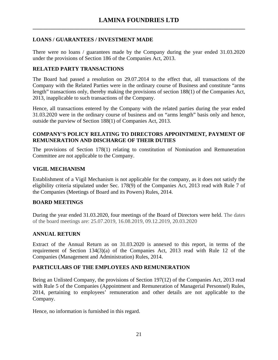# **LOANS / GUARANTEES / INVESTMENT MADE**

There were no loans / guarantees made by the Company during the year ended 31.03.2020 under the provisions of Section 186 of the Companies Act, 2013.

# **RELATED PARTY TRANSACTIONS**

The Board had passed a resolution on 29.07.2014 to the effect that, all transactions of the Company with the Related Parties were in the ordinary course of Business and constitute "arms length" transactions only, thereby making the provisions of section 188(1) of the Companies Act, 2013, inapplicable to such transactions of the Company.

Hence, all transactions entered by the Company with the related parties during the year ended 31.03.2020 were in the ordinary course of business and on "arms length" basis only and hence, outside the purview of Section 188(1) of Companies Act, 2013.

## **COMPANY'S POLICY RELATING TO DIRECTORS APPOINTMENT, PAYMENT OF REMUNERATION AND DISCHARGE OF THEIR DUTIES**

The provisions of Section 178(1) relating to constitution of Nomination and Remuneration Committee are not applicable to the Company.

# **VIGIL MECHANISM**

Establishment of a Vigil Mechanism is not applicable for the company, as it does not satisfy the eligibility criteria stipulated under Sec. 178(9) of the Companies Act, 2013 read with Rule 7 of the Companies (Meetings of Board and its Powers) Rules, 2014.

# **BOARD MEETINGS**

During the year ended 31.03.2020, four meetings of the Board of Directors were held. The dates of the board meetings are: 25.07.2019, 16.08.2019, 09.12.2019, 20.03.2020

# **ANNUAL RETURN**

Extract of the Annual Return as on 31.03.2020 is annexed to this report, in terms of the requirement of Section 134(3)(a) of the Companies Act, 2013 read with Rule 12 of the Companies (Management and Administration) Rules, 2014.

# **PARTICULARS OF THE EMPLOYEES AND REMUNERATION**

Being an Unlisted Company, the provisions of Section 197(12) of the Companies Act, 2013 read with Rule 5 of the Companies (Appointment and Remuneration of Managerial Personnel) Rules, 2014, pertaining to employees' remuneration and other details are not applicable to the Company.

Hence, no information is furnished in this regard.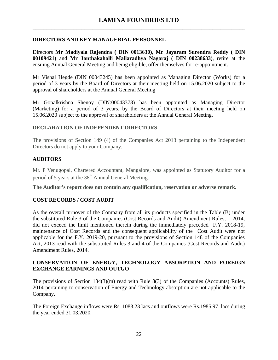# **DIRECTORS AND KEY MANAGERIAL PERSONNEL**

Directors **Mr Madiyala Rajendra ( DIN 0013630), Mr Jayaram Surendra Reddy ( DIN 00109421)** and **Mr Janthakahalli Mallaradhya Nagaraj ( DIN 00238633)**, retire at the ensuing Annual General Meeting and being eligible, offer themselves for re-appointment.

Mr Vishal Hegde (DIN 00043245) has been appointed as Managing Director (Works) for a period of 3 years by the Board of Directors at their meeting held on 15.06.2020 subject to the approval of shareholders at the Annual General Meeting

Mr Gopalkrishna Shenoy (DIN:00043378) has been appointed as Managing Director (Marketing) for a period of 3 years, by the Board of Directors at their meeting held on 15.06.2020 subject to the approval of shareholders at the Annual General Meeting.

# **DECLARATION OF INDEPENDENT DIRECTORS**

The provisions of Section 149 (4) of the Companies Act 2013 pertaining to the Independent Directors do not apply to your Company.

# **AUDITORS**

Mr. P Venugopal, Chartered Accountant, Mangalore, was appointed as Statutory Auditor for a period of 5 years at the 38<sup>th</sup> Annual General Meeting.

**The Auditor's report does not contain any qualification, reservation or adverse remark.** 

# **COST RECORDS / COST AUDIT**

As the overall turnover of the Company from all its products specified in the Table (B) under the substituted Rule 3 of the Companies (Cost Records and Audit) Amendment Rules, 2014, did not exceed the limit mentioned therein during the immediately preceded F.Y. 2018-19, maintenance of Cost Records and the consequent applicability of the Cost Audit were not applicable for the F.Y. 2019-20, pursuant to the provisions of Section 148 of the Companies Act, 2013 read with the substituted Rules 3 and 4 of the Companies (Cost Records and Audit) Amendment Rules, 2014.

# **CONSERVATION OF ENERGY, TECHNOLOGY ABSORPTION AND FOREIGN EXCHANGE EARNINGS AND OUTGO**

The provisions of Section  $134(3)(m)$  read with Rule 8(3) of the Companies (Accounts) Rules, 2014 pertaining to conservation of Energy and Technology absorption are not applicable to the Company.

The Foreign Exchange inflows were Rs. 1083.23 lacs and outflows were Rs.1985.97 lacs during the year ended 31.03.2020.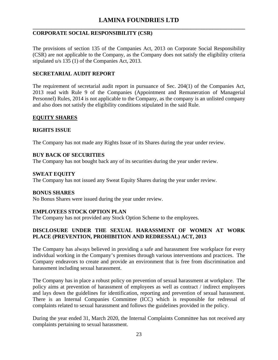### **CORPORATE SOCIAL RESPONSIBILITY (CSR)**

The provisions of section 135 of the Companies Act, 2013 on Corporate Social Responsibility (CSR) are not applicable to the Company, as the Company does not satisfy the eligibility criteria stipulated u/s 135 (1) of the Companies Act, 2013.

### **SECRETARIAL AUDIT REPORT**

The requirement of secretarial audit report in pursuance of Sec. 204(1) of the Companies Act, 2013 read with Rule 9 of the Companies (Appointment and Remuneration of Managerial Personnel) Rules, 2014 is not applicable to the Company, as the company is an unlisted company and also does not satisfy the eligibility conditions stipulated in the said Rule.

### **EQUITY SHARES**

### **RIGHTS ISSUE**

The Company has not made any Rights Issue of its Shares during the year under review.

### **BUY BACK OF SECURITIES**

The Company has not bought back any of its securities during the year under review.

### **SWEAT EQUITY**

The Company has not issued any Sweat Equity Shares during the year under review.

### **BONUS SHARES**

No Bonus Shares were issued during the year under review.

# **EMPLOYEES STOCK OPTION PLAN**

The Company has not provided any Stock Option Scheme to the employees.

# **DISCLOSURE UNDER THE SEXUAL HARASSMENT OF WOMEN AT WORK PLACE (PREVENTION, PROHIBITION AND REDRESSAL) ACT, 2013**

The Company has always believed in providing a safe and harassment free workplace for every individual working in the Company's premises through various interventions and practices. The Company endeavors to create and provide an environment that is free from discrimination and harassment including sexual harassment.

The Company has in place a robust policy on prevention of sexual harassment at workplace. The policy aims at prevention of harassment of employees as well as contract / indirect employees and lays down the guidelines for identification, reporting and prevention of sexual harassment. There is an Internal Companies Committee (ICC) which is responsible for redressal of complaints related to sexual harassment and follows the guidelines provided in the policy.

During the year ended 31, March 2020, the Internal Complaints Committee has not received any complaints pertaining to sexual harassment.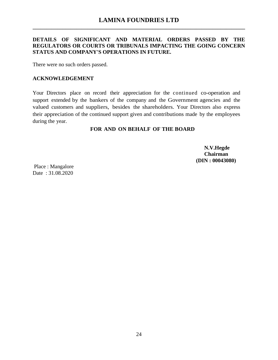## **DETAILS OF SIGNIFICANT AND MATERIAL ORDERS PASSED BY THE REGULATORS OR COURTS OR TRIBUNALS IMPACTING THE GOING CONCERN STATUS AND COMPANY'S OPERATIONS IN FUTURE.**

There were no such orders passed.

### **ACKNOWLEDGEMENT**

Your Directors place on record their appreciation for the continued co-operation and support extended by the bankers of the company and the Government agencies and the valued customers and suppliers, besides the shareholders. Your Directors also express their appreciation of the continued support given and contributions made by the employees during the year.

### **FOR AND ON BEHALF OF THE BOARD**

**N.V.Hegde Chairman (DIN : 00043080)**

 Place : Mangalore Date : 31.08.2020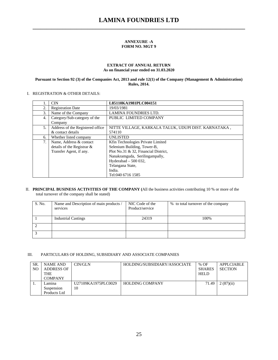#### **ANNEXURE -A FORM NO. MGT 9**

#### **EXTRACT OF ANNUAL RETURN As on financial year ended on 31.03.2020**

#### **Pursuant to Section 92 (3) of the Companies Act, 2013 and rule 12(1) of the Company (Management & Administration) Rules, 2014.**

#### I. REGISTRATION & OTHER DETAILS:

|    | <b>CIN</b>                       | L85110KA1981PLC004151                                |
|----|----------------------------------|------------------------------------------------------|
| 2. | <b>Registration Date</b>         | 19/03/1981                                           |
| 3. | Name of the Company              | LAMINA FOUNDRIES LTD.                                |
| 4. | Category/Sub-category of the     | PUBLIC LIMITED COMPANY                               |
|    | Company                          |                                                      |
| 5. | Address of the Registered office | NITTE VILLAGE, KARKALA TALUK, UDUPI DIST. KARNATAKA, |
|    | & contact details                | 574110                                               |
| 6. | Whether listed company           | <b>UNLISTED</b>                                      |
| 7. | Name, Address & contact          | Kfin Technologies Private Limited                    |
|    | details of the Registrar &       | Selenium Building, Tower-B,                          |
|    | Transfer Agent, if any.          | Plot No.31 & 32, Financial District,                 |
|    |                                  | Nanakramguda, Serilingampally,                       |
|    |                                  | Hyderabad $-500032$ ,                                |
|    |                                  | Telangana State,                                     |
|    |                                  | India.                                               |
|    |                                  | Tel:040 6716 1585                                    |

#### II. **PRINCIPAL BUSINESS ACTIVITIES OF THE COMPANY (**All the business activities contributing 10 % or more of the total turnover of the company shall be stated)

| S. No. | Name and Description of main products /<br>services | NIC Code of the<br>Product/service | % to total turnover of the company |
|--------|-----------------------------------------------------|------------------------------------|------------------------------------|
|        | <b>Industrial Castings</b>                          | 24319                              | 100%                               |
|        |                                                     |                                    |                                    |
|        |                                                     |                                    |                                    |

#### III. PARTICULARS OF HOLDING, SUBSIDIARY AND ASSOCIATE COMPANIES

| SR.<br>N <sub>O</sub> | NAME AND<br><b>ADDRESS OF</b><br><b>THE</b><br><b>COMPANY</b> | CIN/GLN                   | HOLDING/SUBSIDIARY/ASSOCIATE | % OF<br><b>SHARES</b><br><b>HELD</b> | <b>APPLCIABLE</b><br><b>SECTION</b> |
|-----------------------|---------------------------------------------------------------|---------------------------|------------------------------|--------------------------------------|-------------------------------------|
| . .                   | amına<br>Suspension<br>Products Ltd                           | U27109KA1975PLC0029<br>10 | <b>HOLDING COMPANY</b>       | 71.49                                | 2(87)(ii)                           |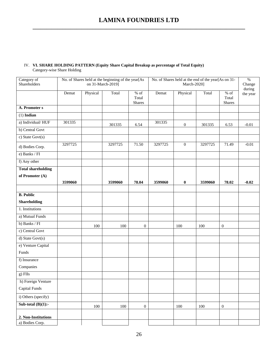#### IV. **VI. SHARE HOLDING PATTERN (Equity Share Capital Breakup as percentage of Total Equity)** Category-wise Share Holding

| Category of<br>Shareholders            |         | No. of Shares held at the beginning of the year[As<br>on 31-March-2019] |         |                                  | No. of Shares held at the end of the year[As on 31-<br>March-2020] |                  |         |                                   | $\%$<br>Change<br>during |
|----------------------------------------|---------|-------------------------------------------------------------------------|---------|----------------------------------|--------------------------------------------------------------------|------------------|---------|-----------------------------------|--------------------------|
|                                        | Demat   | Physical                                                                | Total   | $%$ of<br>Total<br><b>Shares</b> | Demat                                                              | Physical         | Total   | $\%$ of<br>Total<br><b>Shares</b> | the year                 |
| A. Promoter s                          |         |                                                                         |         |                                  |                                                                    |                  |         |                                   |                          |
| $(1)$ Indian                           |         |                                                                         |         |                                  |                                                                    |                  |         |                                   |                          |
| a) Individual/HUF                      | 301335  |                                                                         | 301335  | 6.54                             | 301335                                                             | $\boldsymbol{0}$ | 301335  | 6.53                              | $-0.01$                  |
| b) Central Govt                        |         |                                                                         |         |                                  |                                                                    |                  |         |                                   |                          |
| c) State Govt(s)                       |         |                                                                         |         |                                  |                                                                    |                  |         |                                   |                          |
| d) Bodies Corp.                        | 3297725 |                                                                         | 3297725 | 71.50                            | 3297725                                                            | $\mathbf{0}$     | 3297725 | 71.49                             | $-0.01$                  |
| e) Banks / FI                          |         |                                                                         |         |                                  |                                                                    |                  |         |                                   |                          |
| f) Any other                           |         |                                                                         |         |                                  |                                                                    |                  |         |                                   |                          |
| <b>Total shareholding</b>              |         |                                                                         |         |                                  |                                                                    |                  |         |                                   |                          |
| of Promoter (A)                        |         |                                                                         |         |                                  |                                                                    |                  |         |                                   |                          |
|                                        | 3599060 |                                                                         | 3599060 | 78.04                            | 3599060                                                            | $\pmb{0}$        | 3599060 | 78.02                             | $-0.02$                  |
|                                        |         |                                                                         |         |                                  |                                                                    |                  |         |                                   |                          |
| <b>B.</b> Public                       |         |                                                                         |         |                                  |                                                                    |                  |         |                                   |                          |
| <b>Shareholding</b><br>1. Institutions |         |                                                                         |         |                                  |                                                                    |                  |         |                                   |                          |
|                                        |         |                                                                         |         |                                  |                                                                    |                  |         |                                   |                          |
| a) Mutual Funds                        |         |                                                                         |         |                                  |                                                                    |                  |         |                                   |                          |
| b) Banks / FI                          |         | 100                                                                     | 100     | $\boldsymbol{0}$                 |                                                                    | $100\,$          | 100     | $\boldsymbol{0}$                  |                          |
| c) Central Govt                        |         |                                                                         |         |                                  |                                                                    |                  |         |                                   |                          |
| $d)$ State Govt(s)                     |         |                                                                         |         |                                  |                                                                    |                  |         |                                   |                          |
| e) Venture Capital                     |         |                                                                         |         |                                  |                                                                    |                  |         |                                   |                          |
| Funds                                  |         |                                                                         |         |                                  |                                                                    |                  |         |                                   |                          |
| f) Insurance                           |         |                                                                         |         |                                  |                                                                    |                  |         |                                   |                          |
| Companies                              |         |                                                                         |         |                                  |                                                                    |                  |         |                                   |                          |
| $g)$ FIIs                              |         |                                                                         |         |                                  |                                                                    |                  |         |                                   |                          |
| h) Foreign Venture                     |         |                                                                         |         |                                  |                                                                    |                  |         |                                   |                          |
| <b>Capital Funds</b>                   |         |                                                                         |         |                                  |                                                                    |                  |         |                                   |                          |
| i) Others (specify)                    |         |                                                                         |         |                                  |                                                                    |                  |         |                                   |                          |
| Sub-total $(B)(1)$ :-                  |         | 100                                                                     | 100     | $\mathbf{0}$                     |                                                                    | 100              | 100     | $\boldsymbol{0}$                  |                          |
| 2. Non-Institutions                    |         |                                                                         |         |                                  |                                                                    |                  |         |                                   |                          |
| a) Bodies Corp.                        |         |                                                                         |         |                                  |                                                                    |                  |         |                                   |                          |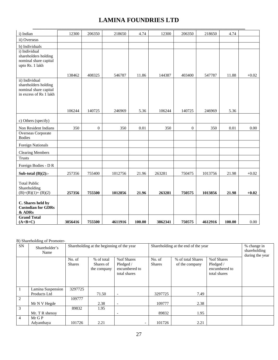| i) Indian                                                                                 | 12300   | 206350       | 218650  | 4.74   | 12300   | 206350       | 218650  | 4.74   |          |
|-------------------------------------------------------------------------------------------|---------|--------------|---------|--------|---------|--------------|---------|--------|----------|
| ii) Overseas                                                                              |         |              |         |        |         |              |         |        |          |
| b) Individuals                                                                            |         |              |         |        |         |              |         |        |          |
| i) Individual<br>shareholders holding<br>nominal share capital<br>upto Rs. 1 lakh         |         |              |         |        |         |              |         |        |          |
|                                                                                           | 138462  | 408325       | 546787  | 11.86  | 144387  | 403400       | 547787  | 11.88  | $+0.02$  |
| ii) Individual<br>shareholders holding<br>nominal share capital<br>in excess of Rs 1 lakh |         |              |         |        |         |              |         |        |          |
|                                                                                           | 106244  | 140725       | 246969  | 5.36   | 106244  | 140725       | 246969  | 5.36   |          |
| c) Others (specify)                                                                       |         |              |         |        |         |              |         |        |          |
| Non Resident Indians                                                                      | 350     | $\mathbf{0}$ | 350     | 0.01   | 350     | $\mathbf{0}$ | 350     | 0.01   | 0.00     |
| Overseas Corporate<br><b>Bodies</b>                                                       |         |              |         |        |         |              |         |        |          |
| <b>Foreign Nationals</b>                                                                  |         |              |         |        |         |              |         |        |          |
| <b>Clearing Members</b>                                                                   |         |              |         |        |         |              |         |        |          |
| <b>Trusts</b>                                                                             |         |              |         |        |         |              |         |        |          |
| Foreign Bodies - D R                                                                      |         |              |         |        |         |              |         |        |          |
| Sub-total $(B)(2)$ :-                                                                     | 257356  | 755400       | 1012756 | 21.96  | 263281  | 750475       | 1013756 | 21.98  | $+0.02$  |
| <b>Total Public</b><br>Shareholding<br>$(B)=(B)(1)+(B)(2)$                                | 257356  | 755500       | 1012856 | 21.96  | 263281  | 750575       | 1013856 | 21.98  | $+0.02$  |
| C. Shares held by<br><b>Custodian for GDRs</b><br>& ADRs                                  |         |              |         |        |         |              |         |        |          |
| <b>Grand Total</b><br>$(A+B+C)$                                                           | 3856416 | 755500       | 4611916 | 100.00 | 3862341 | 750575       | 4612916 | 100.00 | $0.00\,$ |

|                | B) Shareholding of Promoter-      |                         |                                           |                                                           |                         |                                     |                                                           |                 |  |
|----------------|-----------------------------------|-------------------------|-------------------------------------------|-----------------------------------------------------------|-------------------------|-------------------------------------|-----------------------------------------------------------|-----------------|--|
| <b>SN</b>      | Shareholder's<br>Name             |                         | Shareholding at the beginning of the year |                                                           |                         | Shareholding at the end of the year |                                                           |                 |  |
|                |                                   | No. of<br><b>Shares</b> | % of total<br>Shares of<br>the company    | % of Shares<br>Pledged /<br>encumbered to<br>total shares | No. of<br><b>Shares</b> | % of total Shares<br>of the company | % of Shares<br>Pledged /<br>encumbered to<br>total shares | during the year |  |
|                | Lamina Suspension<br>Products Ltd | 3297725                 | 71.50                                     | $\overline{\phantom{a}}$                                  | 3297725                 | 7.49                                |                                                           |                 |  |
| 2              | Mr N V Hegde                      | 109777                  | 2.38                                      | $\overline{\phantom{a}}$                                  | 109777                  | 2.38                                |                                                           |                 |  |
| 3              | Mr. T R shenoy                    | 89832                   | 1.95                                      | $\overline{\phantom{a}}$                                  | 89832                   | 1.95                                |                                                           |                 |  |
| $\overline{4}$ | Mr G P<br>Advanthaya              | 101726                  | 2.21                                      | $\overline{\phantom{a}}$                                  | 101726                  | 2.21                                |                                                           |                 |  |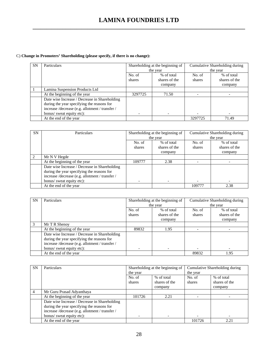#### C) **Change in Promoters' Shareholding (please specify, if there is no change):**

| <b>SN</b> | Particulars                                                                                 |         | Shareholding at the beginning of |         | Cumulative Shareholding during |
|-----------|---------------------------------------------------------------------------------------------|---------|----------------------------------|---------|--------------------------------|
|           |                                                                                             |         | the year                         |         | the year                       |
|           |                                                                                             | No. of  | % of total                       | No. of  | % of total                     |
|           |                                                                                             | shares  | shares of the                    | shares  | shares of the                  |
|           |                                                                                             |         | company                          |         | company                        |
|           | Lamina Suspension Products Ltd                                                              |         |                                  |         |                                |
|           | At the beginning of the year                                                                | 3297725 | 71.50                            |         |                                |
|           | Date wise Increase / Decrease in Shareholding<br>during the year specifying the reasons for |         |                                  |         |                                |
|           | increase /decrease (e.g. allotment / transfer /                                             |         |                                  |         |                                |
|           | bonus/ sweat equity etc):                                                                   |         |                                  |         | -                              |
|           | At the end of the year                                                                      |         |                                  | 3297725 | 71.49                          |

| <b>SN</b>                     | Particulars                                     | Shareholding at the beginning of<br>the year |               | Cumulative Shareholding during<br>the year |               |
|-------------------------------|-------------------------------------------------|----------------------------------------------|---------------|--------------------------------------------|---------------|
|                               |                                                 |                                              |               |                                            |               |
|                               |                                                 | No. of                                       | % of total    | No. of                                     | % of total    |
|                               |                                                 | shares                                       | shares of the | shares                                     | shares of the |
|                               |                                                 |                                              | company       |                                            | company       |
| $\mathfrak{D}_{\mathfrak{p}}$ | Mr N V Hegde                                    |                                              |               |                                            |               |
|                               | At the beginning of the year                    | 109777                                       | 2.38          |                                            |               |
|                               | Date wise Increase / Decrease in Shareholding   |                                              |               |                                            |               |
|                               | during the year specifying the reasons for      |                                              |               |                                            |               |
|                               | increase /decrease (e.g. allotment / transfer / |                                              |               |                                            |               |
|                               | bonus/ sweat equity etc):                       |                                              |               |                                            |               |
|                               | At the end of the year                          |                                              |               | 109777                                     | 2.38          |

| <b>SN</b> | <b>Particulars</b>                              | Shareholding at the beginning of |               | Cumulative Shareholding during |               |
|-----------|-------------------------------------------------|----------------------------------|---------------|--------------------------------|---------------|
|           |                                                 |                                  | the year      |                                | the year      |
|           |                                                 | No. of                           | % of total    | No. of                         | % of total    |
|           |                                                 | shares                           | shares of the | shares                         | shares of the |
|           |                                                 |                                  | company       |                                | company       |
|           | Mr T R Shenoy                                   |                                  |               |                                |               |
|           | At the beginning of the year                    | 89832                            | 1.95          |                                |               |
|           | Date wise Increase / Decrease in Shareholding   |                                  |               |                                |               |
|           | during the year specifying the reasons for      |                                  |               |                                |               |
|           | increase /decrease (e.g. allotment / transfer / |                                  |               |                                |               |
|           | bonus/ sweat equity etc):                       |                                  |               |                                |               |
|           | At the end of the year                          |                                  |               | 89832                          | 1.95          |

| <b>SN</b> | Particulars                                                                                                                                                                 | Shareholding at the beginning of<br>the year               |      | Cumulative Shareholding during<br>the year |                                        |
|-----------|-----------------------------------------------------------------------------------------------------------------------------------------------------------------------------|------------------------------------------------------------|------|--------------------------------------------|----------------------------------------|
|           |                                                                                                                                                                             | % of total<br>No. of<br>shares of the<br>shares<br>company |      | No. of<br>shares                           | % of total<br>shares of the<br>company |
|           | Mr Guru Prasad Adyanthaya                                                                                                                                                   |                                                            |      |                                            |                                        |
|           | At the beginning of the year                                                                                                                                                | 101726                                                     | 2.21 |                                            |                                        |
|           | Date wise Increase / Decrease in Shareholding<br>during the year specifying the reasons for<br>increase /decrease (e.g. allotment / transfer /<br>bonus/ sweat equity etc): |                                                            |      |                                            |                                        |
|           | At the end of the year                                                                                                                                                      |                                                            |      | 101726                                     | 2.21                                   |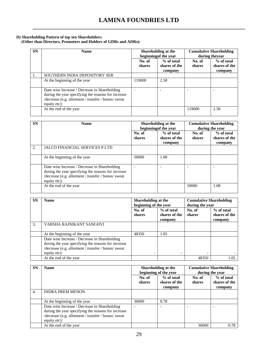#### **D) Shareholding Pattern of top ten Shareholders:**

#### **(Other than Directors, Promoters and Holders of GDRs and ADRs):**

| <b>SN</b> | <b>Name</b>                                                                                                                                                                 |                  | Shareholding at the<br>beginning of the year | <b>Cumulative Shareholding</b><br>during theyear |                                          |  |
|-----------|-----------------------------------------------------------------------------------------------------------------------------------------------------------------------------|------------------|----------------------------------------------|--------------------------------------------------|------------------------------------------|--|
|           |                                                                                                                                                                             | No. of<br>shares | % of total<br>shares of the<br>company       | No. of<br>shares                                 | $%$ of total<br>shares of the<br>company |  |
| 1.        | SOUTHERN INDIA DEPOSITORY SER                                                                                                                                               |                  |                                              |                                                  |                                          |  |
|           | At the beginning of the year                                                                                                                                                | 119000           | 2.58                                         |                                                  |                                          |  |
|           | Date wise Increase / Decrease in Shareholding<br>during the year specifying the reasons for increase<br>/decrease (e.g. allotment / transfer / bonus/ sweat<br>equity etc): |                  |                                              |                                                  |                                          |  |
|           | At the end of the year                                                                                                                                                      |                  |                                              | 119000                                           | 2.58                                     |  |

| <b>SN</b> | <b>Name</b>                                                                                                                                                                 | Shareholding at the<br>beginning of the year |                                          | <b>Cumulative Shareholding</b><br>during the year |                                          |  |
|-----------|-----------------------------------------------------------------------------------------------------------------------------------------------------------------------------|----------------------------------------------|------------------------------------------|---------------------------------------------------|------------------------------------------|--|
|           |                                                                                                                                                                             | No. of<br>shares                             | $%$ of total<br>shares of the<br>company | No. of<br>shares                                  | $%$ of total<br>shares of the<br>company |  |
| 2.        | <b>JALCO FINANCIAL SERVICES P.LTD</b>                                                                                                                                       |                                              |                                          |                                                   |                                          |  |
|           | At the beginning of the year                                                                                                                                                | 50000                                        | 1.08                                     |                                                   |                                          |  |
|           | Date wise Increase / Decrease in Shareholding<br>during the year specifying the reasons for increase<br>/decrease (e.g. allotment / transfer / bonus/ sweat<br>equity etc): |                                              |                                          |                                                   |                                          |  |
|           | At the end of the year                                                                                                                                                      |                                              |                                          | 50000                                             | 1.08                                     |  |

| <b>SN</b> | <b>Name</b>                                                                                                                                                                 | Shareholding at the<br>beginning of the year |                                          | <b>Cumulative Shareholding</b><br>during the year |                                          |  |
|-----------|-----------------------------------------------------------------------------------------------------------------------------------------------------------------------------|----------------------------------------------|------------------------------------------|---------------------------------------------------|------------------------------------------|--|
|           |                                                                                                                                                                             | No. of<br>shares                             | $%$ of total<br>shares of the<br>company | No. of<br>shares                                  | $%$ of total<br>shares of the<br>company |  |
| 3.        | VARSHA RAJNIKANT SANGHVI                                                                                                                                                    |                                              |                                          |                                                   |                                          |  |
|           | At the beginning of the year                                                                                                                                                | 48350                                        | 1.05                                     |                                                   |                                          |  |
|           | Date wise Increase / Decrease in Shareholding<br>during the year specifying the reasons for increase<br>/decrease (e.g. allotment / transfer / bonus/ sweat<br>equity etc): |                                              |                                          |                                                   |                                          |  |
|           | At the end of the year                                                                                                                                                      |                                              |                                          | 48350                                             | 1.05                                     |  |

| <b>SN</b> | <b>Name</b>                                                                                                                                                                 | Shareholding at the<br>beginning of the year |                                        | <b>Cumulative Shareholding</b><br>during the year |                                        |
|-----------|-----------------------------------------------------------------------------------------------------------------------------------------------------------------------------|----------------------------------------------|----------------------------------------|---------------------------------------------------|----------------------------------------|
|           |                                                                                                                                                                             | No. of<br>shares                             | % of total<br>shares of the<br>company | No. of<br>shares                                  | % of total<br>shares of the<br>company |
| 4.        | <b>INDRA PREM MENON</b>                                                                                                                                                     |                                              |                                        |                                                   |                                        |
|           | At the beginning of the year                                                                                                                                                | 36000                                        | 0.78                                   |                                                   |                                        |
|           | Date wise Increase / Decrease in Shareholding<br>during the year specifying the reasons for increase<br>/decrease (e.g. allotment / transfer / bonus/ sweat<br>equity etc): |                                              |                                        |                                                   |                                        |
|           | At the end of the year                                                                                                                                                      |                                              |                                        | 36000                                             | 0.78                                   |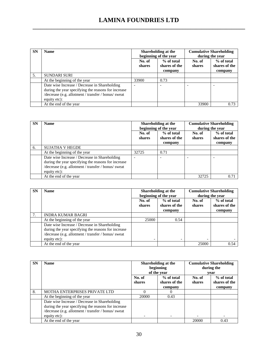| <b>SN</b> | <b>Name</b>                                                                                                                                                                 |                  | Shareholding at the<br>beginning of the year |                  | <b>Cumulative Shareholding</b><br>during the year |  |
|-----------|-----------------------------------------------------------------------------------------------------------------------------------------------------------------------------|------------------|----------------------------------------------|------------------|---------------------------------------------------|--|
|           |                                                                                                                                                                             | No. of<br>shares | % of total<br>shares of the<br>company       | No. of<br>shares | % of total<br>shares of the<br>company            |  |
| 5.        | <b>SUNDARI SURI</b>                                                                                                                                                         |                  |                                              |                  |                                                   |  |
|           | At the beginning of the year                                                                                                                                                | 33900            | 0.73                                         |                  |                                                   |  |
|           | Date wise Increase / Decrease in Shareholding<br>during the year specifying the reasons for increase<br>/decrease (e.g. allotment / transfer / bonus/ sweat<br>equity etc): |                  |                                              |                  |                                                   |  |
|           | At the end of the year                                                                                                                                                      |                  |                                              | 33900            | 0.73                                              |  |

| <b>SN</b> | <b>Name</b>                                                                                                                                                                 |                  | Shareholding at the<br>beginning of the year |                  | <b>Cumulative Shareholding</b><br>during the year |  |
|-----------|-----------------------------------------------------------------------------------------------------------------------------------------------------------------------------|------------------|----------------------------------------------|------------------|---------------------------------------------------|--|
|           |                                                                                                                                                                             | No. of<br>shares | % of total<br>shares of the<br>company       | No. of<br>shares | % of total<br>shares of the<br>company            |  |
| 6.        | <b>SUJATHA V HEGDE</b>                                                                                                                                                      |                  |                                              |                  |                                                   |  |
|           | At the beginning of the year                                                                                                                                                | 32725            | 0.71                                         |                  |                                                   |  |
|           | Date wise Increase / Decrease in Shareholding<br>during the year specifying the reasons for increase<br>/decrease (e.g. allotment / transfer / bonus/ sweat<br>equity etc): |                  |                                              |                  |                                                   |  |
|           | At the end of the year                                                                                                                                                      |                  |                                              | 32725            | 0.71                                              |  |

| <b>SN</b> | <b>Name</b>                                                                                                                                                                 |                  | Shareholding at the<br>beginning of the year |                  | <b>Cumulative Shareholding</b><br>during the year |  |
|-----------|-----------------------------------------------------------------------------------------------------------------------------------------------------------------------------|------------------|----------------------------------------------|------------------|---------------------------------------------------|--|
|           |                                                                                                                                                                             | No. of<br>shares | $%$ of total<br>shares of the<br>company     | No. of<br>shares | % of total<br>shares of the<br>company            |  |
| 7.        | <b>INDRA KUMAR BAGRI</b>                                                                                                                                                    |                  |                                              |                  |                                                   |  |
|           | At the beginning of the year                                                                                                                                                | 25000            | 0.54                                         |                  |                                                   |  |
|           | Date wise Increase / Decrease in Shareholding<br>during the year specifying the reasons for increase<br>/decrease (e.g. allotment / transfer / bonus/ sweat<br>equity etc): |                  |                                              |                  |                                                   |  |
|           | At the end of the year                                                                                                                                                      |                  |                                              | 25000            | 0.54                                              |  |

| <b>SN</b> | <b>Name</b>                                                                                                                                                                 | Shareholding at the<br>beginning<br>of the year |                                        | <b>Cumulative Shareholding</b><br>during the<br>vear |                                        |
|-----------|-----------------------------------------------------------------------------------------------------------------------------------------------------------------------------|-------------------------------------------------|----------------------------------------|------------------------------------------------------|----------------------------------------|
|           |                                                                                                                                                                             | No. of<br>shares                                | % of total<br>shares of the<br>company | No. of<br>shares                                     | % of total<br>shares of the<br>company |
| 8.        | <b>MOTHA ENTERPRISES PRIVATE LTD</b>                                                                                                                                        |                                                 | $\mathbf{0}$                           |                                                      |                                        |
|           | At the beginning of the year                                                                                                                                                | 20000                                           | 0.43                                   |                                                      |                                        |
|           | Date wise Increase / Decrease in Shareholding<br>during the year specifying the reasons for increase<br>/decrease (e.g. allotment / transfer / bonus/ sweat<br>equity etc): |                                                 |                                        |                                                      |                                        |
|           | At the end of the year                                                                                                                                                      |                                                 |                                        | 20000                                                | 0.43                                   |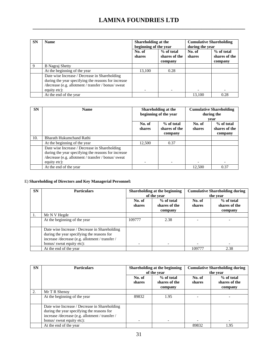| <b>SN</b> | <b>Name</b>                                                                                                                                                                 | Shareholding at the<br>beginning of the year |                                          | <b>Cumulative Shareholding</b><br>during the year |                                        |
|-----------|-----------------------------------------------------------------------------------------------------------------------------------------------------------------------------|----------------------------------------------|------------------------------------------|---------------------------------------------------|----------------------------------------|
|           |                                                                                                                                                                             | No. of<br>shares                             | $%$ of total<br>shares of the<br>company | No. of<br>shares                                  | % of total<br>shares of the<br>company |
| 9         | B Nagraj Shetty                                                                                                                                                             |                                              |                                          |                                                   |                                        |
|           | At the beginning of the year                                                                                                                                                | 13,100                                       | 0.28                                     |                                                   |                                        |
|           | Date wise Increase / Decrease in Shareholding<br>during the year specifying the reasons for increase<br>/decrease (e.g. allotment / transfer / bonus/ sweat<br>equity etc): |                                              |                                          |                                                   |                                        |
|           | At the end of the year                                                                                                                                                      |                                              |                                          | 13.100                                            | 0.28                                   |

| <b>SN</b> | <b>Name</b>                                                                                                                                                                 | Shareholding at the<br>beginning of the year |                                          | <b>Cumulative Shareholding</b><br>during the<br>vear |                                          |
|-----------|-----------------------------------------------------------------------------------------------------------------------------------------------------------------------------|----------------------------------------------|------------------------------------------|------------------------------------------------------|------------------------------------------|
|           |                                                                                                                                                                             | No. of<br>shares                             | $%$ of total<br>shares of the<br>company | No. of<br>shares                                     | $%$ of total<br>shares of the<br>company |
| 10.       | Bharath Hukumchand Rathi                                                                                                                                                    |                                              |                                          |                                                      |                                          |
|           | At the beginning of the year                                                                                                                                                | 12.500                                       | 0.37                                     |                                                      |                                          |
|           | Date wise Increase / Decrease in Shareholding<br>during the year specifying the reasons for increase<br>/decrease (e.g. allotment / transfer / bonus/ sweat<br>equity etc): |                                              |                                          |                                                      |                                          |
|           | At the end of the year                                                                                                                                                      |                                              |                                          | 12.500                                               | 0.37                                     |

### E) **Shareholding of Directors and Key Managerial Personnel:**

| <b>SN</b> | <b>Particulars</b>                                                                                                                                                          |                  | Shareholding at the beginning<br>of the year | <b>Cumulative Shareholding during</b><br>the year |                                        |  |
|-----------|-----------------------------------------------------------------------------------------------------------------------------------------------------------------------------|------------------|----------------------------------------------|---------------------------------------------------|----------------------------------------|--|
|           |                                                                                                                                                                             | No. of<br>shares | % of total<br>shares of the<br>company       | No. of<br>shares                                  | % of total<br>shares of the<br>company |  |
|           | Mr N V Hegde                                                                                                                                                                |                  |                                              |                                                   |                                        |  |
|           | At the beginning of the year                                                                                                                                                | 109777           | 2.38                                         |                                                   |                                        |  |
|           | Date wise Increase / Decrease in Shareholding<br>during the year specifying the reasons for<br>increase /decrease (e.g. allotment / transfer /<br>bonus/ sweat equity etc): |                  |                                              |                                                   |                                        |  |
|           | At the end of the year                                                                                                                                                      |                  |                                              | 109777                                            | 2.38                                   |  |

| <b>SN</b> | <b>Particulars</b>                                                                                                                                                          |                  | Shareholding at the beginning<br>of the year |                  | <b>Cumulative Shareholding during</b><br>the year |
|-----------|-----------------------------------------------------------------------------------------------------------------------------------------------------------------------------|------------------|----------------------------------------------|------------------|---------------------------------------------------|
|           |                                                                                                                                                                             | No. of<br>shares | % of total<br>shares of the<br>company       | No. of<br>shares | % of total<br>shares of the<br>company            |
| 2.        | Mr T R Shenov                                                                                                                                                               |                  |                                              |                  |                                                   |
|           | At the beginning of the year                                                                                                                                                | 89832            | 1.95                                         |                  |                                                   |
|           | Date wise Increase / Decrease in Shareholding<br>during the year specifying the reasons for<br>increase /decrease (e.g. allotment / transfer /<br>bonus/ sweat equity etc): |                  |                                              | -                |                                                   |
|           | At the end of the year                                                                                                                                                      |                  |                                              | 89832            | 1.95                                              |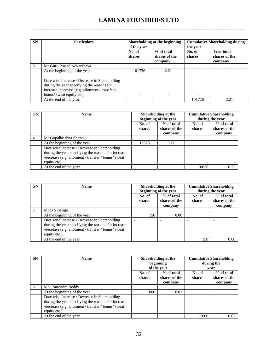| <b>SN</b> | <b>Particulars</b>                                                                                                                                                          | of the year      | Shareholding at the beginning            |                  | <b>Cumulative Shareholding during</b>  |
|-----------|-----------------------------------------------------------------------------------------------------------------------------------------------------------------------------|------------------|------------------------------------------|------------------|----------------------------------------|
|           |                                                                                                                                                                             | No. of<br>shares | $%$ of total<br>shares of the<br>company | No. of<br>shares | % of total<br>shares of the<br>company |
| 3         | Mr Guru Prasad Adyanthaya                                                                                                                                                   |                  |                                          |                  |                                        |
|           | At the beginning of the year                                                                                                                                                | 101726           | 2.21                                     |                  |                                        |
|           | Date wise Increase / Decrease in Shareholding<br>during the year specifying the reasons for<br>increase /decrease (e.g. allotment / transfer /<br>bonus/ sweat equity etc): |                  |                                          |                  |                                        |
|           | At the end of the year                                                                                                                                                      |                  |                                          | 101726           | 2.21                                   |

| <b>SN</b> | <b>Name</b>                                                                                                                                                                 | Shareholding at the<br>beginning of the year |                                        | <b>Cumulative Shareholding</b><br>during the year |                                        |
|-----------|-----------------------------------------------------------------------------------------------------------------------------------------------------------------------------|----------------------------------------------|----------------------------------------|---------------------------------------------------|----------------------------------------|
|           |                                                                                                                                                                             | No. of<br>shares                             | % of total<br>shares of the<br>company | No. of<br>shares                                  | % of total<br>shares of the<br>company |
|           | Mr Gopalkrishna Shenoy                                                                                                                                                      |                                              |                                        |                                                   |                                        |
|           | At the beginning of the year                                                                                                                                                | 10028                                        | 0.22                                   |                                                   |                                        |
|           | Date wise Increase / Decrease in Shareholding<br>during the year specifying the reasons for increase<br>/decrease (e.g. allotment / transfer / bonus/ sweat<br>equity etc): |                                              | $\overline{\phantom{a}}$               |                                                   |                                        |
|           | At the end of the year                                                                                                                                                      |                                              |                                        | 10028                                             | 0.22                                   |

| <b>SN</b> | <b>Name</b>                                                                                                                                                                  |                  | Shareholding at the<br>beginning of the year |                  | <b>Cumulative Shareholding</b><br>during the year |
|-----------|------------------------------------------------------------------------------------------------------------------------------------------------------------------------------|------------------|----------------------------------------------|------------------|---------------------------------------------------|
|           |                                                                                                                                                                              | No. of<br>shares | $%$ of total<br>shares of the                | No. of<br>shares | $%$ of total<br>shares of the                     |
|           |                                                                                                                                                                              |                  | company                                      |                  | company                                           |
|           | Mr B S Baliga                                                                                                                                                                |                  |                                              |                  |                                                   |
|           | At the beginning of the year                                                                                                                                                 | 150              | 0.00                                         |                  |                                                   |
|           | Date wise Increase / Decrease in Shareholding<br>during the year specifying the reasons for increase<br>/decrease (e.g. allotment / transfer / bonus/ sweat<br>equity etc.): |                  |                                              |                  |                                                   |
|           | At the end of the year                                                                                                                                                       |                  |                                              | 150              | 0.00                                              |

| <b>SN</b> | <b>Name</b>                                                                                                                                                                  | Shareholding at the<br>beginning<br>of the year |                                        | <b>Cumulative Shareholding</b><br>during the<br>vear |                                        |  |
|-----------|------------------------------------------------------------------------------------------------------------------------------------------------------------------------------|-------------------------------------------------|----------------------------------------|------------------------------------------------------|----------------------------------------|--|
|           |                                                                                                                                                                              | No. of<br>shares                                | % of total<br>shares of the<br>company | No. of<br>shares                                     | % of total<br>shares of the<br>company |  |
| 6         | Mr J Surendra Reddy                                                                                                                                                          |                                                 |                                        |                                                      |                                        |  |
|           | At the beginning of the year                                                                                                                                                 | 1000                                            | 0.02                                   |                                                      |                                        |  |
|           | Date wise Increase / Decrease in Shareholding<br>during the year specifying the reasons for increase<br>/decrease (e.g. allotment / transfer / bonus/ sweat<br>equity etc.): |                                                 |                                        |                                                      |                                        |  |
|           | At the end of the year                                                                                                                                                       |                                                 |                                        | 1000                                                 | 0.02                                   |  |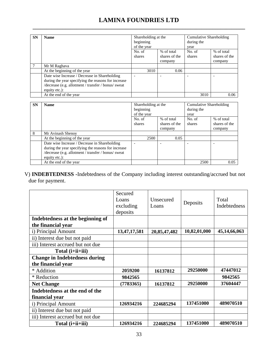| <b>SN</b> | <b>Name</b>                                         | Shareholding at the |               | Cumulative Shareholding |               |
|-----------|-----------------------------------------------------|---------------------|---------------|-------------------------|---------------|
|           |                                                     | beginning           |               | during the              |               |
|           |                                                     | of the year         |               | vear                    |               |
|           |                                                     | No. of              | % of total    | No. of                  | % of total    |
|           |                                                     | shares              | shares of the | shares                  | shares of the |
|           |                                                     |                     | company       |                         | company       |
|           | Mr M Raghava                                        |                     |               |                         |               |
|           | At the beginning of the year                        | 3010                | 0.06          |                         |               |
|           | Date wise Increase / Decrease in Shareholding       |                     |               |                         |               |
|           | during the year specifying the reasons for increase |                     |               |                         |               |
|           | /decrease (e.g. allotment / transfer / bonus/ sweat |                     |               |                         |               |
|           | equity etc.):                                       |                     |               |                         |               |
|           | At the end of the year                              |                     |               | 3010                    | 0.06          |

| <b>SN</b> | <b>Name</b>                                         | Shareholding at the |               | Cumulative Shareholding |               |
|-----------|-----------------------------------------------------|---------------------|---------------|-------------------------|---------------|
|           |                                                     | beginning           |               | during the              |               |
|           |                                                     | of the year         |               | year                    |               |
|           |                                                     | No. of              | % of total    | No. of                  | % of total    |
|           |                                                     | shares              | shares of the | shares                  | shares of the |
|           |                                                     |                     | company       |                         | company       |
| 8         | Mr Avinash Shenoy                                   |                     |               |                         |               |
|           | At the beginning of the year                        | 2500                | 0.05          |                         |               |
|           | Date wise Increase / Decrease in Shareholding       |                     |               |                         |               |
|           | during the year specifying the reasons for increase |                     |               |                         |               |
|           | /decrease (e.g. allotment / transfer / bonus/ sweat |                     |               |                         |               |
|           | equity etc.):                                       |                     |               |                         |               |
|           | At the end of the year                              |                     |               | 2500                    | 0.05          |

V) **INDEBTEDNESS -**Indebtedness of the Company including interest outstanding/accrued but not due for payment.

|                                      | Secured<br>Loans<br>excluding<br>deposits | Unsecured<br>Loans | Deposits     | Total<br><b>Indebtedness</b> |
|--------------------------------------|-------------------------------------------|--------------------|--------------|------------------------------|
| Indebtedness at the beginning of     |                                           |                    |              |                              |
| the financial year                   |                                           |                    |              |                              |
| i) Principal Amount                  | 13,47,17,581                              | 20,85,47,482       | 10,82,01,000 | 45,14,66,063                 |
| ii) Interest due but not paid        |                                           |                    |              |                              |
| iii) Interest accrued but not due    |                                           |                    |              |                              |
| Total (i+ii+iii)                     |                                           |                    |              |                              |
| <b>Change in Indebtedness during</b> |                                           |                    |              |                              |
| the financial year                   |                                           |                    |              |                              |
| * Addition                           | 2059200                                   | 16137812           | 29250000     | 47447012                     |
| * Reduction                          | 9842565                                   |                    |              | 9842565                      |
| <b>Net Change</b>                    | (7783365)                                 | 16137812           | 29250000     | 37604447                     |
| Indebtedness at the end of the       |                                           |                    |              |                              |
| financial year                       |                                           |                    |              |                              |
| i) Principal Amount                  | 126934216                                 | 224685294          | 137451000    | 489070510                    |
| ii) Interest due but not paid        |                                           |                    |              |                              |
| iii) Interest accrued but not due    |                                           |                    |              |                              |
| Total $(i+iii+iii)$                  | 126934216                                 | 224685294          | 137451000    | 489070510                    |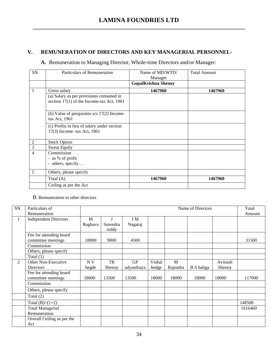# **V. REMUNERATION OF DIRECTORS AND KEY MANAGERIAL PERSONNEL-**

# **A.** Remuneration to Managing Director, Whole-time Directors and/or Manager:

| SN.                     | Particulars of Remuneration                                                            | Name of MD/WTD/<br>Manager | <b>Total Amount</b> |
|-------------------------|----------------------------------------------------------------------------------------|----------------------------|---------------------|
|                         |                                                                                        | <b>GopalKrishna Shenoy</b> |                     |
| 1                       | Gross salary                                                                           | 1467960                    | 1467960             |
|                         | (a) Salary as per provisions contained in<br>section 17(1) of the Income-tax Act, 1961 |                            |                     |
|                         | (b) Value of perquisites $u/s$ 17(2) Income-<br>tax Act, 1961                          |                            |                     |
|                         | (c) Profits in lieu of salary under section<br>17(3) Income- tax Act, 1961             |                            |                     |
| $\mathfrak{2}$          | <b>Stock Option</b>                                                                    |                            |                     |
| $\overline{\mathbf{3}}$ | <b>Sweat Equity</b>                                                                    |                            |                     |
| $\overline{4}$          | Commission                                                                             |                            |                     |
|                         | - as % of profit                                                                       |                            |                     |
|                         | - others, specify                                                                      |                            |                     |
| 5                       | Others, please specify                                                                 |                            |                     |
|                         | Total $(A)$                                                                            | 1467960                    | 1467960             |
|                         | Ceiling as per the Act                                                                 |                            |                     |

### B. Remuneration to other directors

| SN. | Particulars of<br>Remuneration                              | Name of Directors       |                   |                  |                 |               | Total<br>Amount   |                   |         |
|-----|-------------------------------------------------------------|-------------------------|-------------------|------------------|-----------------|---------------|-------------------|-------------------|---------|
| 1   | <b>Independent Directors</b>                                | M<br>Raghava            | Surendra<br>reddy | J M<br>Nagaraj   |                 |               |                   |                   |         |
|     | Fee for attending board<br>committee meetings<br>Commission | 18000                   | 9000              | 4500             |                 |               |                   |                   | 31500   |
|     | Others, please specify                                      |                         |                   |                  |                 |               |                   |                   |         |
|     | Total $(1)$                                                 |                         |                   |                  |                 |               |                   |                   |         |
| 2   | Other Non-Executive<br>Directors                            | N <sub>V</sub><br>hegde | TR<br>Shenoy      | GP<br>adyanthaya | Vishal<br>hedge | M<br>Rajendra | <b>B</b> S baliga | Avinash<br>Shenoy |         |
|     | Fee for attending board<br>committee meetings               | 18000                   | 13500             | 13500            | 18000           | 18000         | 18000             | 18000             | 117000  |
|     | Commission                                                  |                         |                   |                  |                 |               |                   |                   |         |
|     | Others, please specify                                      |                         |                   |                  |                 |               |                   |                   |         |
|     | Total $(2)$                                                 |                         |                   |                  |                 |               |                   |                   |         |
|     | Total $(B)=(1+2)$                                           |                         |                   |                  |                 |               |                   |                   | 148500  |
|     | <b>Total Managerial</b><br>Remuneration                     |                         |                   |                  |                 |               |                   |                   | 1616460 |
|     | Overall Ceiling as per the<br>Act                           |                         |                   |                  |                 |               |                   |                   |         |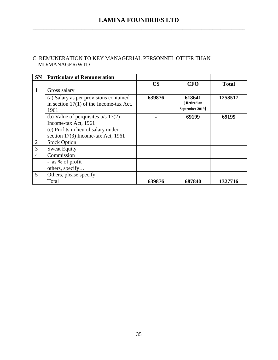# C. REMUNERATION TO KEY MANAGERIAL PERSONNEL OTHER THAN MD/MANAGER/WTD

| <b>SN</b>      | <b>Particulars of Remuneration</b>                                                          |               |                                          |              |
|----------------|---------------------------------------------------------------------------------------------|---------------|------------------------------------------|--------------|
|                |                                                                                             | $\mathbf{CS}$ | <b>CFO</b>                               | <b>Total</b> |
| 1              | Gross salary                                                                                |               |                                          |              |
|                | (a) Salary as per provisions contained<br>in section $17(1)$ of the Income-tax Act,<br>1961 | 639876        | 618641<br>(Retired on<br>September 2019) | 1258517      |
|                | (b) Value of perquisites $u/s$ 17(2)<br>Income-tax Act, 1961                                |               | 69199                                    | 69199        |
|                | (c) Profits in lieu of salary under<br>section 17(3) Income-tax Act, 1961                   |               |                                          |              |
| $\overline{2}$ | <b>Stock Option</b>                                                                         |               |                                          |              |
| 3              | <b>Sweat Equity</b>                                                                         |               |                                          |              |
| $\overline{4}$ | Commission                                                                                  |               |                                          |              |
|                | - as % of profit                                                                            |               |                                          |              |
|                | others, specify                                                                             |               |                                          |              |
| 5              | Others, please specify                                                                      |               |                                          |              |
|                | Total                                                                                       | 639876        | 687840                                   | 1327716      |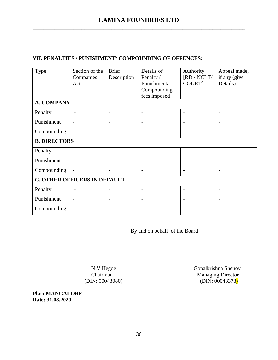# **VII. PENALTIES / PUNISHMENT/ COMPOUNDING OF OFFENCES:**

| Type                                | Section of the           | <b>Brief</b>             | Details of               | Authority                    | Appeal made,             |  |  |
|-------------------------------------|--------------------------|--------------------------|--------------------------|------------------------------|--------------------------|--|--|
|                                     | Companies                | Description              | Penalty /                | [RD / NCLT/                  | if any (give             |  |  |
|                                     | Act                      |                          | Punishment/              | <b>COURT</b>                 | Details)                 |  |  |
|                                     |                          |                          | Compounding              |                              |                          |  |  |
|                                     |                          |                          | fees imposed             |                              |                          |  |  |
| A. COMPANY                          |                          |                          |                          |                              |                          |  |  |
| Penalty                             |                          | $\overline{\phantom{0}}$ | $\overline{\phantom{a}}$ | $\overline{a}$               | $\overline{a}$           |  |  |
| Punishment                          |                          | $\overline{\phantom{0}}$ | $\overline{a}$           | $\overline{a}$               | $\overline{\phantom{0}}$ |  |  |
| Compounding                         |                          | $\overline{\phantom{a}}$ | $\overline{a}$           | $\overline{a}$               | $\overline{a}$           |  |  |
| <b>B. DIRECTORS</b>                 |                          |                          |                          |                              |                          |  |  |
| Penalty                             | $\overline{\phantom{0}}$ | $\overline{\phantom{a}}$ | $\overline{a}$           | $\overline{a}$               | $\overline{\phantom{0}}$ |  |  |
| Punishment                          | $\overline{\phantom{0}}$ |                          | $\overline{a}$           | ÷                            |                          |  |  |
| Compounding                         | $\blacksquare$           | $\overline{\phantom{a}}$ | $\overline{\phantom{a}}$ | $\overline{a}$               | $\overline{a}$           |  |  |
| <b>C. OTHER OFFICERS IN DEFAULT</b> |                          |                          |                          |                              |                          |  |  |
| Penalty                             | $\overline{a}$           | $\overline{\phantom{a}}$ | $\overline{\phantom{a}}$ | $\qquad \qquad \blacksquare$ | $\overline{a}$           |  |  |
| Punishment                          | $\overline{\phantom{0}}$ | $\overline{\phantom{a}}$ | $\overline{a}$           | $\overline{a}$               | $\overline{a}$           |  |  |
| Compounding                         |                          |                          | -                        |                              |                          |  |  |

By and on behalf of the Board

N V Hegde Gopalkrishna Shenoy<br>Chairman Managing Director Chairman Managing Director<br>
(DIN: 00043080) (DIN: 00043378)  $(DIN: 00043378)$ 

**Plac: MANGALORE Date: 31.08.2020**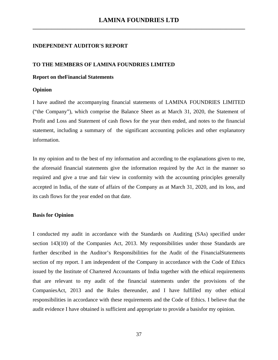### **INDEPENDENT AUDITOR'S REPORT**

### **TO THE MEMBERS OF LAMINA FOUNDRIES LIMITED**

#### **Report on theFinancial Statements**

#### **Opinion**

I have audited the accompanying financial statements of LAMINA FOUNDRIES LIMITED ("the Company"), which comprise the Balance Sheet as at March 31, 2020, the Statement of Profit and Loss and Statement of cash flows for the year then ended, and notes to the financial statement, including a summary of the significant accounting policies and other explanatory information.

In my opinion and to the best of my information and according to the explanations given to me, the aforesaid financial statements give the information required by the Act in the manner so required and give a true and fair view in conformity with the accounting principles generally accepted in India, of the state of affairs of the Company as at March 31, 2020, and its loss, and its cash flows for the year ended on that date.

### **Basis for Opinion**

I conducted my audit in accordance with the Standards on Auditing (SAs) specified under section 143(10) of the Companies Act, 2013. My responsibilities under those Standards are further described in the Auditor's Responsibilities for the Audit of the FinancialStatements section of my report. I am independent of the Company in accordance with the Code of Ethics issued by the Institute of Chartered Accountants of India together with the ethical requirements that are relevant to my audit of the financial statements under the provisions of the CompaniesAct, 2013 and the Rules thereunder, and I have fulfilled my other ethical responsibilities in accordance with these requirements and the Code of Ethics. I believe that the audit evidence I have obtained is sufficient and appropriate to provide a basisfor my opinion.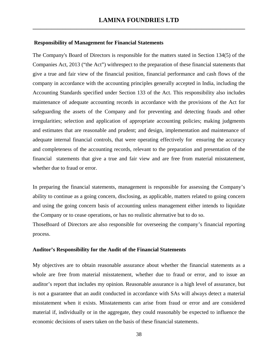### **Responsibility of Management for Financial Statements**

The Company's Board of Directors is responsible for the matters stated in Section 134(5) of the Companies Act, 2013 ("the Act") withrespect to the preparation of these financial statements that give a true and fair view of the financial position, financial performance and cash flows of the company in accordance with the accounting principles generally accepted in India, including the Accounting Standards specified under Section 133 of the Act. This responsibility also includes maintenance of adequate accounting records in accordance with the provisions of the Act for safeguarding the assets of the Company and for preventing and detecting frauds and other irregularities; selection and application of appropriate accounting policies; making judgments and estimates that are reasonable and prudent; and design, implementation and maintenance of adequate internal financial controls, that were operating effectively for ensuring the accuracy and completeness of the accounting records, relevant to the preparation and presentation of the financial statements that give a true and fair view and are free from material misstatement, whether due to fraud or error.

In preparing the financial statements, management is responsible for assessing the Company's ability to continue as a going concern, disclosing, as applicable, matters related to going concern and using the going concern basis of accounting unless management either intends to liquidate the Company or to cease operations, or has no realistic alternative but to do so.

ThoseBoard of Directors are also responsible for overseeing the company's financial reporting process.

### **Auditor's Responsibility for the Audit of the Financial Statements**

My objectives are to obtain reasonable assurance about whether the financial statements as a whole are free from material misstatement, whether due to fraud or error, and to issue an auditor's report that includes my opinion. Reasonable assurance is a high level of assurance, but is not a guarantee that an audit conducted in accordance with SAs will always detect a material misstatement when it exists. Misstatements can arise from fraud or error and are considered material if, individually or in the aggregate, they could reasonably be expected to influence the economic decisions of users taken on the basis of these financial statements.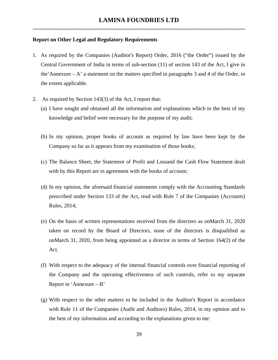### **Report on Other Legal and Regulatory Requirements**

- 1. As required by the Companies (Auditor's Report) Order, 2016 ("the Order") issued by the Central Government of India in terms of sub-section (11) of section 143 of the Act, I give in the 'Annexure – A' a statement on the matters specified in paragraphs 3 and 4 of the Order, to the extent applicable.
- 2. As required by Section 143(3) of the Act, I report that:
	- (a) I have sought and obtained all the information and explanations which to the best of my knowledge and belief were necessary for the purpose of my audit;
	- (b) In my opinion, proper books of account as required by law have been kept by the Company so far as it appears from my examination of those books;
	- (c) The Balance Sheet, the Statement of Profit and Lossand the Cash Flow Statement dealt with by this Report are in agreement with the books of account;
	- (d) In my opinion, the aforesaid financial statements comply with the Accounting Standards prescribed under Section 133 of the Act, read with Rule 7 of the Companies (Accounts) Rules, 2014;
	- (e) On the basis of written representations received from the directors as onMarch 31, 2020 taken on record by the Board of Directors, none of the directors is disqualified as onMarch 31, 2020, from being appointed as a director in terms of Section 164(2) of the Act.
	- (f) With respect to the adequacy of the internal financial controls over financial reporting of the Company and the operating effectiveness of such controls, refer to my separate Report in 'Annexure – B'
	- (g) With respect to the other matters to be included in the Auditor's Report in accordance with Rule 11 of the Companies (Audit and Auditors) Rules, 2014, in my opinion and to the best of my information and according to the explanations given to me: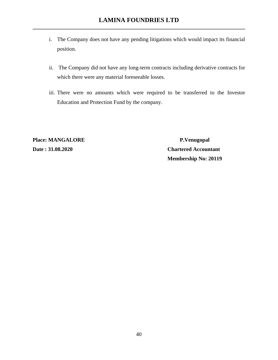- i. The Company does not have any pending litigations which would impact its financial position.
- ii. The Company did not have any long-term contracts including derivative contracts for which there were any material foreseeable losses.
- iii. There were no amounts which were required to be transferred to the Investor Education and Protection Fund by the company.

Place: MANGALORE **P.Venugopal** 

**Date : 31.08.2020 Chartered Accountant Membership No: 20119**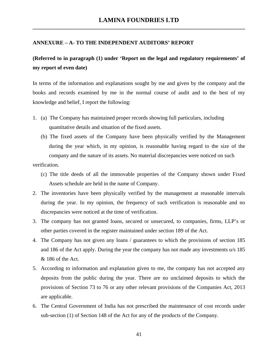### **ANNEXURE – A- TO THE INDEPENDENT AUDITORS' REPORT**

# **(Referred to in paragraph (1) under 'Report on the legal and regulatory requirements' of my report of even date)**

In terms of the information and explanations sought by me and given by the company and the books and records examined by me in the normal course of audit and to the best of my knowledge and belief, I report the following:

- 1. (a) The Company has maintained proper records showing full particulars, including quantitative details and situation of the fixed assets.
	- (b) The fixed assets of the Company have been physically verified by the Management during the year which, in my opinion, is reasonable having regard to the size of the company and the nature of its assets. No material discrepancies were noticed on such

verification.

- (c) The title deeds of all the immovable properties of the Company shown under Fixed Assets schedule are held in the name of Company.
- 2. The inventories have been physically verified by the management at reasonable intervals during the year. In my opinion, the frequency of such verification is reasonable and no discrepancies were noticed at the time of verification.
- 3. The company has not granted loans, secured or unsecured, to companies, firms, LLP's or other parties covered in the register maintained under section 189 of the Act.
- 4. The Company has not given any loans / guarantees to which the provisions of section 185 and 186 of the Act apply. During the year the company has not made any investments u/s 185 & 186 of the Act.
- 5. According to information and explanation given to me, the company has not accepted any deposits from the public during the year. There are no unclaimed deposits to which the provisions of Section 73 to 76 or any other relevant provisions of the Companies Act, 2013 are applicable.
- 6. The Central Government of India has not prescribed the maintenance of cost records under sub-section (1) of Section 148 of the Act for any of the products of the Company.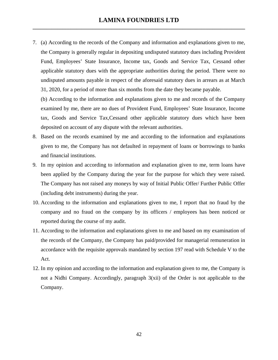7. (a) According to the records of the Company and information and explanations given to me, the Company is generally regular in depositing undisputed statutory dues including Provident Fund, Employees' State Insurance, Income tax, Goods and Service Tax, Cessand other applicable statutory dues with the appropriate authorities during the period. There were no undisputed amounts payable in respect of the aforesaid statutory dues in arrears as at March 31, 2020, for a period of more than six months from the date they became payable.

(b) According to the information and explanations given to me and records of the Company examined by me, there are no dues of Provident Fund, Employees' State Insurance, Income tax, Goods and Service Tax,Cessand other applicable statutory dues which have been deposited on account of any dispute with the relevant authorities.

- 8. Based on the records examined by me and according to the information and explanations given to me, the Company has not defaulted in repayment of loans or borrowings to banks and financial institutions.
- 9. In my opinion and according to information and explanation given to me, term loans have been applied by the Company during the year for the purpose for which they were raised. The Company has not raised any moneys by way of Initial Public Offer/ Further Public Offer (including debt instruments) during the year.
- 10. According to the information and explanations given to me, I report that no fraud by the company and no fraud on the company by its officers / employees has been noticed or reported during the course of my audit.
- 11. According to the information and explanations given to me and based on my examination of the records of the Company, the Company has paid/provided for managerial remuneration in accordance with the requisite approvals mandated by section 197 read with Schedule V to the Act.
- 12. In my opinion and according to the information and explanation given to me, the Company is not a Nidhi Company. Accordingly, paragraph 3(xii) of the Order is not applicable to the Company.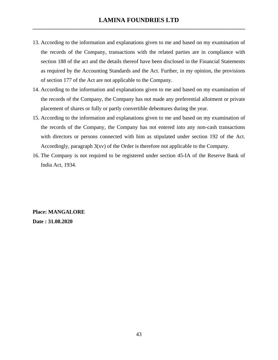- 13. According to the information and explanations given to me and based on my examination of the records of the Company, transactions with the related parties are in compliance with section 188 of the act and the details thereof have been disclosed in the Financial Statements as required by the Accounting Standards and the Act. Further, in my opinion, the provisions of section 177 of the Act are not applicable to the Company.
- 14. According to the information and explanations given to me and based on my examination of the records of the Company, the Company has not made any preferential allotment or private placement of shares or fully or partly convertible debentures during the year.
- 15. According to the information and explanations given to me and based on my examination of the records of the Company, the Company has not entered into any non-cash transactions with directors or persons connected with him as stipulated under section 192 of the Act. Accordingly, paragraph 3(xv) of the Order is therefore not applicable to the Company.
- 16. The Company is not required to be registered under section 45-IA of the Reserve Bank of India Act, 1934.

**Place: MANGALORE Date : 31.08.2020**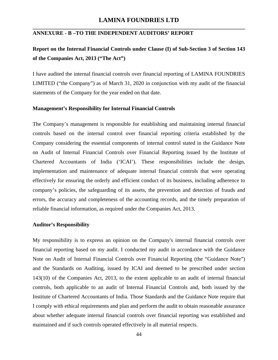# **ANNEXURE - B –TO THE INDEPENDENT AUDITORS' REPORT**

# **Report on the Internal Financial Controls under Clause (I) of Sub-Section 3 of Section 143 of the Companies Act, 2013 ("The Act")**

I have audited the internal financial controls over financial reporting of LAMINA FOUNDRIES LIMITED ("the Company") as of March 31, 2020 in conjunction with my audit of the financial statements of the Company for the year ended on that date.

#### **Management's Responsibility for Internal Financial Controls**

The Company's management is responsible for establishing and maintaining internal financial controls based on the internal control over financial reporting criteria established by the Company considering the essential components of internal control stated in the Guidance Note on Audit of Internal Financial Controls over Financial Reporting issued by the Institute of Chartered Accountants of India ('ICAI'). These responsibilities include the design, implementation and maintenance of adequate internal financial controls that were operating effectively for ensuring the orderly and efficient conduct of its business, including adherence to company's policies, the safeguarding of its assets, the prevention and detection of frauds and errors, the accuracy and completeness of the accounting records, and the timely preparation of reliable financial information, as required under the Companies Act, 2013.

#### **Auditor's Responsibility**

My responsibility is to express an opinion on the Company's internal financial controls over financial reporting based on my audit. I conducted my audit in accordance with the Guidance Note on Audit of Internal Financial Controls over Financial Reporting (the "Guidance Note") and the Standards on Auditing, issued by ICAI and deemed to be prescribed under section 143(10) of the Companies Act, 2013, to the extent applicable to an audit of internal financial controls, both applicable to an audit of Internal Financial Controls and, both issued by the Institute of Chartered Accountants of India. Those Standards and the Guidance Note require that I comply with ethical requirements and plan and perform the audit to obtain reasonable assurance about whether adequate internal financial controls over financial reporting was established and maintained and if such controls operated effectively in all material respects.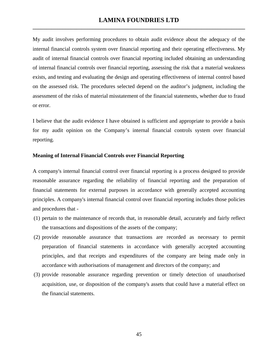My audit involves performing procedures to obtain audit evidence about the adequacy of the internal financial controls system over financial reporting and their operating effectiveness. My audit of internal financial controls over financial reporting included obtaining an understanding of internal financial controls over financial reporting, assessing the risk that a material weakness exists, and testing and evaluating the design and operating effectiveness of internal control based on the assessed risk. The procedures selected depend on the auditor's judgment, including the assessment of the risks of material misstatement of the financial statements, whether due to fraud or error.

I believe that the audit evidence I have obtained is sufficient and appropriate to provide a basis for my audit opinion on the Company's internal financial controls system over financial reporting.

### **Meaning of Internal Financial Controls over Financial Reporting**

A company's internal financial control over financial reporting is a process designed to provide reasonable assurance regarding the reliability of financial reporting and the preparation of financial statements for external purposes in accordance with generally accepted accounting principles. A company's internal financial control over financial reporting includes those policies and procedures that -

- (1) pertain to the maintenance of records that, in reasonable detail, accurately and fairly reflect the transactions and dispositions of the assets of the company;
- (2) provide reasonable assurance that transactions are recorded as necessary to permit preparation of financial statements in accordance with generally accepted accounting principles, and that receipts and expenditures of the company are being made only in accordance with authorisations of management and directors of the company; and
- (3) provide reasonable assurance regarding prevention or timely detection of unauthorised acquisition, use, or disposition of the company's assets that could have a material effect on the financial statements.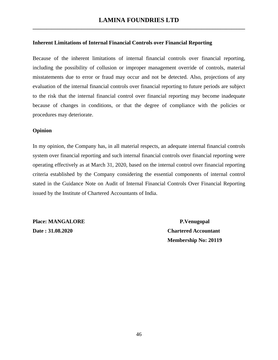### **Inherent Limitations of Internal Financial Controls over Financial Reporting**

Because of the inherent limitations of internal financial controls over financial reporting, including the possibility of collusion or improper management override of controls, material misstatements due to error or fraud may occur and not be detected. Also, projections of any evaluation of the internal financial controls over financial reporting to future periods are subject to the risk that the internal financial control over financial reporting may become inadequate because of changes in conditions, or that the degree of compliance with the policies or procedures may deteriorate.

### **Opinion**

In my opinion, the Company has, in all material respects, an adequate internal financial controls system over financial reporting and such internal financial controls over financial reporting were operating effectively as at March 31, 2020, based on the internal control over financial reporting criteria established by the Company considering the essential components of internal control stated in the Guidance Note on Audit of Internal Financial Controls Over Financial Reporting issued by the Institute of Chartered Accountants of India.

**Place: MANGALORE P.Venugopal P.Venugopal Date : 31.08.2020 Chartered Accountant** 

 **Membership No: 20119**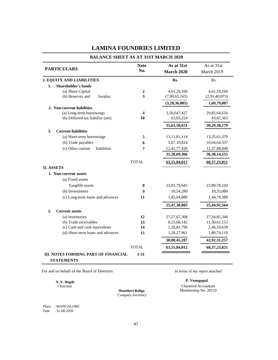|                                             | <b>Note</b>  | As at 31st        | As at 31st      |
|---------------------------------------------|--------------|-------------------|-----------------|
| <b>PARTICULARS</b>                          | No.          | <b>March 2020</b> | March 2019      |
| <b>I. EQUITY AND LIABILITIES</b>            |              | Rs.               | Rs.             |
| <b>Shareholder's funds</b><br>1.            |              |                   |                 |
| (a) Share Capital                           | $\mathbf{2}$ | 4,61,29,160       | 4,61,19,160     |
| (b) Reserves and<br>Surplus                 | 3            | (7,89,65,165)     | (2,91,40,073)   |
|                                             |              | (3,28,36,005)     | 1,69,79,087     |
| 2. Non-current liabilities                  |              |                   |                 |
| (a) Long-term borrowings                    | 4            | 3,50,047,427      | 29,85,64,616    |
| (b) Deferred tax liability (net)            | 10           | 63,03,224         | 43,65,563       |
|                                             |              | 35,63,50,651      | 30,29,30,179    |
| <b>Current liabilities</b><br>3.            |              |                   |                 |
| (a) Short-term borrowings                   | 5            | 13, 11, 81, 114   | 13,35,61,370    |
| (b) Trade payables                          | 6            | 5,67,10,824       | 10,64,64,337    |
| (c) Other current<br>liabilities            | 7            | 12,41,77,428      | 12,37,88,848    |
|                                             |              | 31,20,69,366      | 36, 38, 14, 555 |
|                                             | TOTAL        | 63,55,84,012      | 68, 37, 23, 821 |
| <b>II. ASSETS</b>                           |              |                   |                 |
| 1. Non-current assets                       |              |                   |                 |
| (a) Fixed assets                            |              |                   |                 |
| Tangible assets                             | 8            | 23,91,79,645      | 23,89,78,104    |
| (b) Investments                             | 9            | 10,54,280         | 10,35,080       |
| (c) Long-term loans and advances            | 11           | 1,45,04,880       | 1,44,79,380     |
|                                             |              | 25,47,38,805      | 25,44,92,564    |
| <b>Current assets</b><br>2.                 |              |                   |                 |
| (a) Inventories                             | 12           | 27, 27, 67, 308   | 27, 34, 85, 346 |
| (b) Trade receivables                       | 13           | 8,25,68,142       | 11,30,61,153    |
| (c) Cash and cash equivalents               | 14           | 1,26,81,796       | 2,46,10,639     |
| (d) Short-term loans and advances           | 15           | 1,28,27,961       | 1,80,74,119     |
|                                             |              | 38,08,45,207      | 42,92,31,257    |
|                                             | <b>TOTAL</b> | 63,55,84,012      | 68, 37, 23, 821 |
| <b>III. NOTES FORMING PART OF FINANCIAL</b> | $1 - 31$     |                   |                 |

For and on behalf of the Board of Directors In terms of my report attached

**N. V. Hegde**

Company Secretary

 **P. Venugopal** Chairman Chartered Accountant Membership No. 20119

Place : MANGALORE Date : 31-08-2020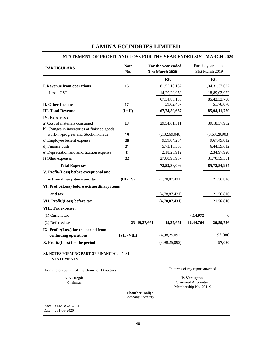| <b>PARTICULARS</b>                                             | <b>Note</b><br>No. | For the year ended<br>31st March 2020 |                                | For the year ended<br>31st March 2019 |
|----------------------------------------------------------------|--------------------|---------------------------------------|--------------------------------|---------------------------------------|
|                                                                |                    | Rs.                                   |                                | Rs.                                   |
| I. Revenue from operations                                     | 16                 | 81,55,18,132                          |                                | 1,04,31,37,622                        |
| Less : GST                                                     |                    | 14,20,29,952                          |                                | 18,89,03,922                          |
|                                                                |                    | 67, 34, 88, 180                       |                                | 85, 42, 33, 700                       |
| <b>II. Other Income</b>                                        | 17                 | 39,62,487                             |                                | 51,78,070                             |
| <b>III. Total Reveune</b>                                      | $(I + II)$         | 67,74,50,667                          |                                | 85,94,11,770                          |
| <b>IV.</b> Expenses :                                          |                    |                                       |                                |                                       |
| a) Cost of materials consumed                                  | 18                 | 29,54,61,511                          |                                | 39, 18, 37, 962                       |
| b) Changes in inventories of finished goods,                   |                    |                                       |                                |                                       |
| work-in-progress and Stock-in-Trade                            | 19                 | (2,32,69,048)                         |                                | (3,63,28,903)                         |
| c) Employee benefit expense                                    | 20                 | 9,59,04,234                           |                                | 9,67,49,012                           |
| d) Finance costs                                               | 21                 | 5,73,13,553                           |                                | 6,44,39,612                           |
| e) Depreciation and amortization expense                       | 8                  | 2,18,28,912                           |                                | 2,34,97,920                           |
| f) Other expenses                                              | 22                 | 27,80,98,937                          |                                | 31,70,59,351                          |
| <b>Total Expenses</b>                                          |                    | 72,53,38,099                          |                                | 85,72,54,954                          |
| V. Profit/(Loss) before exceptional and                        |                    |                                       |                                |                                       |
| extraordinary items and tax                                    | $(III - IV)$       | (4,78,87,431)                         |                                | 21,56,816                             |
| VI. Profit/(Loss) before extraordinary items                   |                    |                                       |                                |                                       |
| and tax                                                        |                    | (4,78,87,431)                         |                                | 21,56,816                             |
| VII. Profit/(Loss) before tax                                  |                    | (4,78,87,431)                         |                                | 21,56,816                             |
| <b>VIII. Tax expense:</b>                                      |                    |                                       |                                |                                       |
| $(1)$ Current tax                                              |                    |                                       | 4,14,972                       | $\Omega$                              |
| (2) Deferred tax                                               | 23 19,37,661       | 19,37,661                             | 16,44,764                      | 20,59,736                             |
| IX. Profit/(Loss) for the period from<br>continuing operations | (VII - VIII)       | (4,98,25,092)                         |                                | 97,080                                |
| X. Profit/(Loss) for the period                                |                    | (4,98,25,092)                         |                                | 97,080                                |
| XI. NOTES FORMING PART OF FINANCIAL<br><b>STATEMENTS</b>       | - 1-31             |                                       |                                |                                       |
| For and on behalf of the Board of Directors                    |                    |                                       | In terms of my report attached |                                       |

**STATEMENT OF PROFIT AND LOSS FOR THE YEAR ENDED 31ST MARCH 2020**

**N. V. Hegde P. Venugopal**

Chartered Accountant Membership No. 20119

**Shantheri Baliga** Company Secretary

Place : MANGALORE Date : 31-08-2020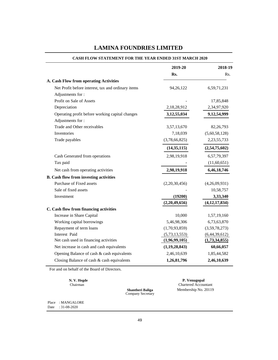|                                                    | 2019-20       | 2018-19        |
|----------------------------------------------------|---------------|----------------|
|                                                    | Rs.           | Rs.            |
| A. Cash Flow from operating Activities             |               |                |
| Net Profit before interest, tax and ordinary items | 94,26,122     | 6,59,71,231    |
| Adjustments for:                                   |               |                |
| Profit on Sale of Assets                           |               | 17,85,848      |
| Depreciation                                       | 2,18,28,912   | 2,34,97,920    |
| Operating profit before working capital changes    | 3,12,55,034   | 9,12,54,999    |
| Adjustments for:                                   |               |                |
| Trade and Other receivables                        | 3,57,13,670   | 82, 26, 793    |
| Inventories                                        | 7,18,039      | (5,60,58,128)  |
| Trade payables                                     | (3,78,66,825) | 2, 23, 55, 733 |
|                                                    | (14, 35, 115) | (2,54,75,602)  |
| Cash Generated from operations                     | 2,98,19,918   | 6,57,79,397    |
| Tax paid                                           |               | (11, 60, 651)  |
| Net cash from operating activities                 | 2,98,19,918   | 6,46,18,746    |
| <b>B.</b> Cash flow from investing activities      |               |                |
| Purchase of Fixed assets                           | (2,20,30,456) | (4,26,09,931)  |
| Sale of fixed assets                               |               | 10,58,757      |
| Investment                                         | (19200)       | 3,33,340       |
|                                                    | (2,20,49,656) | (4,12,17,834)  |
| C. Cash flow from financing activities             |               |                |
| Increase in Share Capital                          | 10,000        | 1,57,19,160    |
| Working capital borrowings                         | 5,46,98,306   | 6,73,63,870    |
| Repayment of term loans                            | (1,70,93,859) | (3,59,78,273)  |
| Interest Paid                                      | (5,73,13,553) | (6,44,39,612)  |
| Net cash used in financing activities              | (1,96,99,105) | (1,73,34,855)  |
| Net increase in cash and cash equivalents          | (1,19,28,843) | 60,66,057      |
| Opening Balance of cash & cash equivalents         | 2,46,10,639   | 1,85,44,582    |
| Closing Balance of cash & cash equivalents         | 1,26,81,796   | 2,46,10,639    |

**CASH FLOW STATEMENT FOR THE YEAR ENDED 31ST MARCH 2020**

For and on behalf of the Board of Directors.

 **N. V. Hegde P. Venugopal** Chartered Accountant **Membership No. 20119** 

Place : MANGALORE<br>Date : 31-08-2020

Shantheri Baliga<br>Company Secretary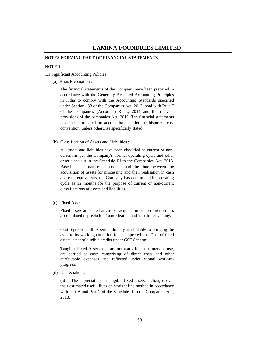#### **NOTES FORMING PART OF FINANCIAL STATEMENTS**

#### **NOTE 1**

- 1.1 Significant Accounting Policies :
	- (a) Basis Preparation :

The financial statements of the Company have been prepared in accordance with the Generally Accepted Accounting Principles in India to comply with the Accounting Standards specified under Section 133 of the Companies Act, 2013, read with Rule 7 of the Companies (Accounts) Rules, 2014 and the relevant provisions of the companies Act, 2013. The financial statements have been prepared on accrual basis under the historical cost convention, unless otherwise specifically stated.

(b) Classification of Assets and Liabilities :

All assets and liabilities have been classified as current or noncurrent as per the Company's normal operating cycle and other criteria set out in the Schedule III to the Companies Act, 2013. Based on the nature of products and the time between the acquisition of assets for processing and their realisation in cash and cash equivalents, the Company has determined its operating cycle as 12 months for the purpose of current or non-current classifications of assets and liabilities.

(c) Fixed Assets :

Fixed assets are stated at cost of acquisition or construction less accumulated depreciation / amortization and impairment, if any.

Cost represents all expenses directly attributable to bringing the asset to its working condition for its expected use. Cost of fixed assets is net of eligible credits under GST Scheme.

Tangible Fixed Assets, that are not ready for their intended use, are carried at costs comprising of direct costs and other attributable expenses and reflected under capital work-inprogress.

(d) Depreciation :

(a) The depreciation on tangible fixed assets is charged over their estimated useful lives on straight line method in accordance with Part A and Part C of the Schedule II to the Companies Act, 2013.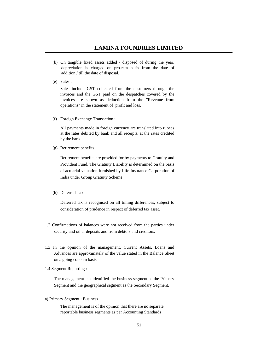- (b) On tangible fixed assets added / disposed of during the year, depreciation is charged on pro-rata basis from the date of addition / till the date of disposal.
- (e) Sales :

Sales include GST collected from the customers through the invoices and the GST paid on the despatches covered by the invoices are shown as deduction from the "Revenue from operations" in the statement of profit and loss.

(f) Foreign Exchange Transaction :

All payments made in foreign currency are translated into rupees at the rates debited by bank and all receipts, at the rates credited by the bank.

(g) Retirement benefits :

Retirement benefits are provided for by payments to Gratuity and Provident Fund. The Gratuity Liability is determined on the basis of actuarial valuation furnished by Life Insurance Corporation of India under Group Gratuity Scheme.

(h) Deferred Tax :

Deferred tax is recognised on all timing differences, subject to consideration of prudence in respect of deferred tax asset.

- 1.2 Confirmations of balances were not received from the parties under security and other deposits and from debtors and creditors.
- 1.3 In the opinion of the management, Current Assets, Loans and Advances are approximately of the value stated in the Balance Sheet on a going concern basis.
- 1.4 Segment Reporting :

The management has identified the business segment as the Primary Segment and the geographical segment as the Secondary Segment.

a) Primary Segment : Business

The management is of the opinion that there are no separate reportable business segments as per Accounting Standards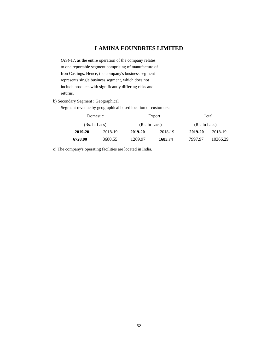(AS)-17, as the entire operation of the company relates to one reportable segment comprising of manufacture of Iron Castings. Hence, the company's business segment represents single business segment, which does not include products with significantly differing risks and returns.

b) Secondary Segment : Geographical

Segment revenue by geographical based location of customers:

| Domestic<br>(Rs. In Lacs) |         |               | Export  | Total         |          |  |
|---------------------------|---------|---------------|---------|---------------|----------|--|
|                           |         | (Rs. In Lacs) |         | (Rs. In Lacs) |          |  |
| 2019-20                   | 2018-19 | 2019-20       | 2018-19 | 2019-20       | 2018-19  |  |
| 6728.00                   | 8680.55 | 1269.97       | 1685.74 | 7997.97       | 10366.29 |  |

c) The company's operating facilities are located in India.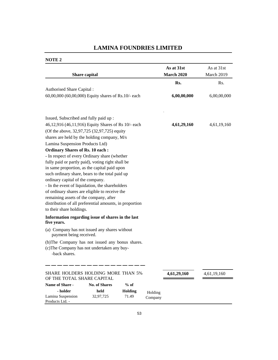| <b>NOTE 2</b>                                                            |                   |             |  |
|--------------------------------------------------------------------------|-------------------|-------------|--|
|                                                                          | As at 31st        | As at 31st  |  |
| <b>Share capital</b>                                                     | <b>March 2020</b> | March 2019  |  |
|                                                                          | Rs.               | Rs.         |  |
| Authorised Share Capital:                                                |                   |             |  |
| 60,00,000 (60,00,000) Equity shares of Rs.10/- each                      | 6,00,00,000       | 6,00,00,000 |  |
| Issued, Subscribed and fully paid up :                                   |                   |             |  |
| 46,12,916 (46,11,916) Equity Shares of Rs 10/- each                      | 4,61,29,160       | 4,61,19,160 |  |
| (Of the above, 32,97,725 (32,97,725) equity                              |                   |             |  |
| shares are held by the holding company, M/s                              |                   |             |  |
| Lamina Suspension Products Ltd)                                          |                   |             |  |
| <b>Ordinary Shares of Rs. 10 each:</b>                                   |                   |             |  |
| - In respect of every Ordinary share (whether                            |                   |             |  |
| fully paid or partly paid), voting right shall be                        |                   |             |  |
| in same proportion, as the capital paid upon                             |                   |             |  |
| such ordinary share, bears to the total paid up                          |                   |             |  |
| ordinary capital of the company.                                         |                   |             |  |
| - In the event of liquidation, the shareholders                          |                   |             |  |
| of ordinary shares are eligible to receive the                           |                   |             |  |
| remaining assets of the company, after                                   |                   |             |  |
| distribution of all preferential amounts, in proportion                  |                   |             |  |
| to their share holdings.                                                 |                   |             |  |
| Information regarding issue of shares in the last<br>five years.         |                   |             |  |
| (a) Company has not issued any shares without<br>payment being received. |                   |             |  |
| (b) The Company has not issued any bonus shares.                         |                   |             |  |
| (c) The Company has not undertaken any buy-<br>-back shares.             |                   |             |  |
| <b>SHARE HOLDERS HOLDING MORE THAN 5%</b><br>OF THE TOTAL SHARE CAPITAL  | 4,61,29,160       | 4,61,19,160 |  |
| Name of Share -<br><b>No. of Shares</b><br>$%$ of                        |                   |             |  |

| Name of Share -   | <b>No. of Shares</b> | $%$ of  |         |
|-------------------|----------------------|---------|---------|
| - holder          | held                 | Holding | Holding |
| Lamina Suspension | 32,97,725            | 71.49   | Company |
| Products Ltd. -   |                      |         |         |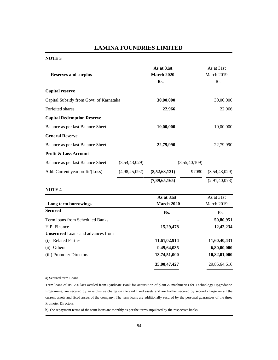#### **NOTE 3**

|                                          |               | As at 31st        |               | As at 31st<br>March 2019 |
|------------------------------------------|---------------|-------------------|---------------|--------------------------|
| <b>Reserves and surplus</b>              |               | <b>March 2020</b> |               |                          |
|                                          |               | Rs.               |               | Rs.                      |
| <b>Capital reserve</b>                   |               |                   |               |                          |
| Capital Subsidy from Govt. of Karnataka  |               | 30,00,000         |               | 30,00,000                |
| Forfeited shares                         |               | 22,966            |               | 22,966                   |
| <b>Capital Redemption Reserve</b>        |               |                   |               |                          |
| Balance as per last Balance Sheet        |               | 10,00,000         |               | 10,00,000                |
| <b>General Reserve</b>                   |               |                   |               |                          |
| Balance as per last Balance Sheet        |               | 22,79,990         |               | 22,79,990                |
| <b>Profit &amp; Loss Account</b>         |               |                   |               |                          |
| Balance as per last Balance Sheet        | (3,54,43,029) |                   | (3,55,40,109) |                          |
| Add: Current year profit/(Loss)          | (4,98,25,092) | (8,52,68,121)     | 97080         | (3,54,43,029)            |
|                                          |               | (7,89,65,165)     |               | (2,91,40,073)            |
| <b>NOTE 4</b>                            |               |                   |               |                          |
|                                          |               | As at 31st        |               | As at 31st               |
| Long term borrowings                     |               | <b>March 2020</b> |               | March 2019               |
| <b>Secured</b>                           |               | Rs.               |               | Rs.                      |
| Term loans from Scheduled Banks          |               |                   |               | 50,80,951                |
| H.P. Finance                             |               | 15,29,478         |               | 12,42,234                |
| <b>Unsecured</b> Loans and advances from |               |                   |               |                          |
| (i) Related Parties                      |               | 11,61,02,914      |               | 11,60,40,431             |
| (ii) Others                              |               | 9,49,64,035       |               | 6,80,00,000              |
| (iii) Promoter Directors                 |               | 13,74,51,000      |               | 10,82,01,000             |
|                                          |               | 35,00,47,427      |               | 29,85,64,616             |

a) Secured term Loans

Term loans of Rs. 790 lacs availed from Syndicate Bank for acquisition of plant & machineries for Technology Upgradation Programme, are secured by an exclusive charge on the said fixed assets and are further secured by second charge on all the current assets and fixed assets of the company. The term loans are additionally secured by the personal guarantees of the three Promoter Directors.

b) The repayment terms of the term loans are monthly as per the terms stipulated by the respective banks.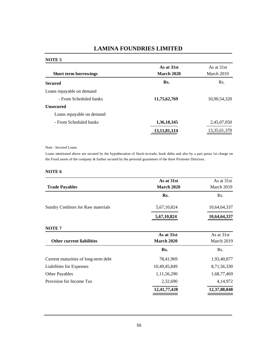#### **NOTE 5**

| <b>Short term borrowings</b> | As at 31st<br><b>March 2020</b> | As at 31st<br>March 2019 |
|------------------------------|---------------------------------|--------------------------|
| Secured                      | Rs.                             | Rs.                      |
| Loans repayable on demand    |                                 |                          |
| - From Scheduled banks       | 11,75,62,769                    | 10,90,54,320             |
| Unsecured                    |                                 |                          |
| Loans repayable on demand    |                                 |                          |
| - From Scheduled banks       | 1,36,18,345                     | 2,45,07,050              |
|                              | 13, 11, 81, 114                 | 13, 35, 61, 370          |

#### Note : Secured Loans

Loans mentioned above are secured by the hypothecation of Stock-in-trade, book debts and also by a pari passu 1st charge on the Fixed assets of the company & further secured by the personal guarantees of the three Promoter Directors.

#### **NOTE 6**

|                                      | As at 31st        | As at 31st   |
|--------------------------------------|-------------------|--------------|
| <b>Trade Payables</b>                | <b>March 2020</b> | March 2019   |
|                                      | Rs.               | Rs.          |
| Sundry Creditors for Raw materials   | 5,67,10,824       | 10,64,64,337 |
|                                      | 5,67,10,824       | 10,64,64,337 |
| <b>NOTE 7</b>                        |                   |              |
|                                      | As at 31st        | As at 31st   |
| <b>Other current liabilities</b>     | <b>March 2020</b> | March 2019   |
|                                      | Rs.               | Rs.          |
| Current maturities of long-term debt | 78,41,969         | 1,93,40,077  |
| Liabilities for Expenses             | 10,49,45,849      | 8,71,56,330  |
| Other Payables                       | 1,11,56,290       | 1,68,77,469  |
| Provision for Income Tax             | 2,32,690          | 4,14,972     |
|                                      | 12,41,77,428      | 12,37,88,848 |
|                                      |                   |              |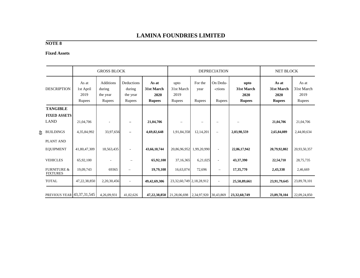#### **NOTE 8**

#### **Fixed Assets**

|                                           |                                      | <b>GROSS BLOCK</b>                        |                                            |                                              |                                      | <b>DEPRECIATION</b>       |                               |                                             | <b>NET BLOCK</b>                             |                                       |  |
|-------------------------------------------|--------------------------------------|-------------------------------------------|--------------------------------------------|----------------------------------------------|--------------------------------------|---------------------------|-------------------------------|---------------------------------------------|----------------------------------------------|---------------------------------------|--|
| <b>DESCRIPTION</b>                        | As at<br>1st April<br>2019<br>Rupees | Additions<br>during<br>the year<br>Rupees | Deductions<br>during<br>the year<br>Rupees | As at<br>31st March<br>2020<br><b>Rupees</b> | upto<br>31st March<br>2019<br>Rupees | For the<br>year<br>Rupees | On Dedu-<br>-ctions<br>Rupees | upto<br>31st March<br>2020<br><b>Rupees</b> | As at<br>31st March<br>2020<br><b>Rupees</b> | As at<br>31st March<br>2019<br>Rupees |  |
| <b>TANGIBLE</b>                           |                                      |                                           |                                            |                                              |                                      |                           |                               |                                             |                                              |                                       |  |
| <b>FIXED ASSETS</b>                       |                                      |                                           |                                            |                                              |                                      |                           |                               |                                             |                                              |                                       |  |
| <b>LAND</b>                               | 21,04,706                            |                                           | —                                          | 21,04,706                                    |                                      |                           |                               |                                             | 21,04,706                                    | 21,04,706                             |  |
| <b>BUILDINGS</b><br>$\frac{4}{5}$         | 4,35,84,992                          | 33,97,656                                 | $\overline{\phantom{0}}$                   | 4,69,82,648                                  | 1,91,84,358                          | 12,14,201                 | $\overline{\phantom{m}}$      | 2,03,98,559                                 | 2,65,84,089                                  | 2,44,00,634                           |  |
| PLANT AND                                 |                                      |                                           |                                            |                                              |                                      |                           |                               |                                             |                                              |                                       |  |
| <b>EQUIPMENT</b>                          | 41,80,47,309                         | 18,563,435                                | $\blacksquare$                             | 43,66,10,744                                 | 20,86,96,952                         | 1,99,20,990               | ÷,                            | 22,86,17,942                                | 20,79,92,802                                 | 20,93,50,357                          |  |
| <b>VEHICLES</b>                           | 65,92,100                            | $\overline{\phantom{a}}$                  | $\overline{\phantom{0}}$                   | 65,92,100                                    | 37,16,365                            | 6,21,025                  | ٠                             | 43,37,390                                   | 22,54,710                                    | 28,75,735                             |  |
| <b>FURNITURE &amp;</b><br><b>FIXTURES</b> | 19,09,743                            | 69365                                     | $\overline{\phantom{0}}$                   | 19,79,108                                    | 16,63,074                            | 72,696                    | $\overline{\phantom{m}}$      | 17,35,770                                   | 2,43,338                                     | 2,46,669                              |  |
| <b>TOTAL</b>                              | 47, 22, 38, 850                      | 2,20,30,456                               | ÷,                                         | 49, 42, 69, 306                              | 23, 32, 60, 749 2, 18, 28, 912       |                           | $\sim$                        | 25,50,89,661                                | 23,91,79,645                                 | 23,89,78,101                          |  |
| PREVIOUS YEAR 43,37,31,545                |                                      | 4,26,09,931                               | 41,02,626                                  | 47,22,38,850                                 | 21,28,06,698                         | 2,34,97,920 30,43,869     |                               | 23,32,60,749                                | 23,89,78,104                                 | 22,09,24,850                          |  |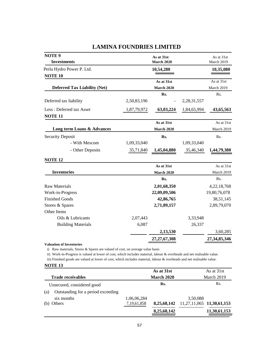| <b>NOTE 9</b><br><b>Investments</b> |             | As at 31st        |             | As at 31st       |
|-------------------------------------|-------------|-------------------|-------------|------------------|
|                                     |             | <b>March 2020</b> |             | March 2019       |
| Perla Hydro Power P. Ltd.           |             | 10,54,280         |             | 10,35,080        |
| <b>NOTE 10</b>                      |             |                   |             |                  |
|                                     |             | As at 31st        |             | As at 31st       |
| <b>Deferred Tax Liability (Net)</b> |             | <b>March 2020</b> |             | March 2019       |
|                                     |             | Rs.               |             | Rs.              |
| Deferred tax liability              | 2,50,83,196 |                   | 2,28,31,557 |                  |
| Less: Deferred tax Asset            | 1,87,79,972 | 63,03,224         | 1,84,65,994 | 43,65,563        |
| <b>NOTE 11</b>                      |             |                   |             |                  |
|                                     |             | As at 31st        |             | As at 31st       |
| Long term Loans & Advances          |             | <b>March 2020</b> |             | March 2019       |
| <b>Security Deposit</b>             |             | Rs.               |             | R <sub>s</sub> . |
| - With Mescom                       | 1,09,33,040 |                   | 1,09,33,040 |                  |
| - Other Deposits                    | 35,71,840   | 1,45,04,880       | 35,46,340   | 1,44,79,380      |
| <b>NOTE 12</b>                      |             |                   |             |                  |
|                                     |             | As at 31st        |             | As at 31st       |
| <b>Inventories</b>                  |             | <b>March 2020</b> |             | March 2019       |
|                                     |             | Rs.               |             | Rs.              |
| <b>Raw Materials</b>                |             | 2,01,68,350       |             | 4,22,18,768      |
| Work-in-Progress                    |             | 22,09,09,506      |             | 19,80,76,078     |
| <b>Finished Goods</b>               |             | 42,86,765         |             | 38,51,145        |
| Stores & Spares                     |             | 2,71,89,157       |             | 2,89,79,070      |
| Other Items                         |             |                   |             |                  |
| Oils & Lubricants                   | 2,07,443    |                   | 3,33,948    |                  |
| <b>Building Materials</b>           | 6,087       |                   | 26,337      |                  |
|                                     |             | 2,13,530          |             | 3,60,285         |
|                                     |             | 27, 27, 67, 308   |             | 27, 34, 85, 346  |
|                                     |             |                   |             |                  |

**Valuation of Inventories**

i) Raw materials, Stores & Spares are valued of cost, on average value basis

ii) Work-in-Progress is valued at lower of cost, which includes material, labour & overheads and net realisable value.

iii) Finished goods are valued at lower of cost, which includes material, labour & overheads and net realisable value.

#### **NOTE 13**

|                                           |             | As at 31st        |                           | As at 31st   |
|-------------------------------------------|-------------|-------------------|---------------------------|--------------|
| <b>Trade receivables</b>                  |             | <b>March 2020</b> |                           | March 2019   |
| Unsecured, considered good                |             | Rs.               |                           | Rs.          |
| Outstanding for a period exceeding<br>(a) |             |                   |                           |              |
| six months                                | 1,06,06,284 |                   | 3,50,088                  |              |
| (b) Others                                | 7,19,61,858 | 8,25,68,142       | 11,27,11,065 11,30,61,153 |              |
|                                           |             | 8,25,68,142       |                           | 11,30,61,153 |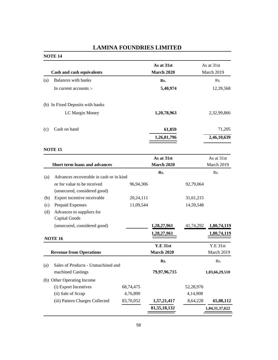# **NOTE 14**

|     |                                         |           | As at 31st        |           | As at 31st     |
|-----|-----------------------------------------|-----------|-------------------|-----------|----------------|
|     | Cash and cash equivalents               |           | <b>March 2020</b> |           | March 2019     |
| (a) | <b>Balances</b> with banks              |           | Rs.               |           | Rs.            |
|     | In current accounts :-                  |           | 5,40,974          |           | 12,39,568      |
|     | (b) In Fixed Deposits with banks        |           |                   |           |                |
|     | LC Margin Money                         |           | 1,20,78,963       |           | 2,32,99,866    |
| (c) | Cash on hand                            |           | 61,859            |           | 71,205         |
|     |                                         |           | 1,26,81,796       |           | 2,46,10,639    |
|     | <b>NOTE 15</b>                          |           |                   |           |                |
|     |                                         |           | As at 31st        |           | As at 31st     |
|     | Short term loans and advances           |           | <b>March 2020</b> |           | March 2019     |
| (a) | Advances recoverable in cash or in kind |           | Rs.               |           | Rs.            |
|     | or for value to be received             | 96,94,306 |                   | 92,79,064 |                |
|     | (unsecured, considered good)            |           |                   |           |                |
| (b) | Export incentive receivable             | 20,24,111 |                   | 31,61,215 |                |
| (c) | Prepaid Expenses                        | 11,09,544 |                   | 14,59,548 |                |
| (d) | Advances to suppliers for               |           |                   |           |                |
|     | <b>Capital Goods</b>                    |           |                   |           |                |
|     | (unsecured, considered good)            |           | 1,28,27,961       | 41,74,292 | 1,80,74,119    |
|     | <b>NOTE 16</b>                          |           | 1,28,27,961       |           | 1,80,74,119    |
|     |                                         |           | <b>Y.E 31st</b>   |           | Y.E.31st       |
|     | <b>Revenue from Operations</b>          |           | <b>March 2020</b> |           | March 2019     |
| (a) | Sales of Products - Unmachined and      |           | Rs.               |           | Rs.            |
|     | machined Castings                       |           | 79,97,96,715      |           | 1,03,66,29,510 |
|     | (b) Other Operating Income              |           |                   |           |                |
|     | (i) Export Incentives                   | 68,74,475 |                   | 52,28,976 |                |
|     | (ii) Sale of Scrap                      | 4,76,890  |                   | 4,14,908  |                |
|     | (iii) Pattern Charges Collected         | 83,70,052 | 1,57,21,417       | 8,64,228  | 65,08,112      |
|     |                                         |           | 81,55,18,132      |           | 1,04,31,37,622 |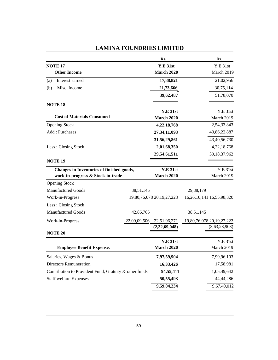|                                                        |              | Rs.                                  |           | Rs.                             |
|--------------------------------------------------------|--------------|--------------------------------------|-----------|---------------------------------|
| <b>NOTE 17</b>                                         |              | <b>Y.E 31st</b>                      |           | Y.E 31st                        |
| <b>Other Income</b>                                    |              | <b>March 2020</b>                    |           | March 2019                      |
| (a)<br>Interest earned                                 |              | 17,88,821                            |           | 21,02,956                       |
| Misc. Income<br>(b)                                    |              | 21,73,666                            |           | 30,75,114                       |
|                                                        |              | 39,62,487                            |           | 51,78,070                       |
| <b>NOTE 18</b>                                         |              |                                      |           |                                 |
|                                                        |              | <b>Y.E 31st</b>                      |           | Y.E31st                         |
| <b>Cost of Materials Consumed</b>                      |              | <b>March 2020</b>                    |           | March 2019                      |
| <b>Opening Stock</b>                                   |              | 4,22,18,768                          |           | 2,54,33,843                     |
| Add: Purchases                                         |              | 27, 34, 11, 093                      |           | 40,86,22,887                    |
|                                                        |              | 31,56,29,861                         |           | 43,40,56,730                    |
| Less: Closing Stock                                    |              | 2,01,68,350                          |           | 4,22,18,768                     |
|                                                        |              | 29,54,61,511                         |           | 39, 18, 37, 962                 |
| <b>NOTE 19</b>                                         |              |                                      |           |                                 |
| Changes in Inventories of finished goods,              |              | <b>Y.E 31st</b>                      |           | <b>Y.E 31st</b>                 |
| work-in-progress & Stock-in-trade                      |              | <b>March 2020</b>                    |           | March 2019                      |
| <b>Opening Stock</b>                                   |              |                                      |           |                                 |
| <b>Manufactured Goods</b>                              | 38,51,145    |                                      | 29,88,179 |                                 |
| Work-in-Progress                                       |              | 19,80,76,078 20,19,27,223            |           | 16, 26, 10, 141 16, 55, 98, 320 |
| Less: Closing Stock                                    |              |                                      |           |                                 |
| <b>Manufactured Goods</b>                              | 42,86,765    |                                      | 38,51,145 |                                 |
| Work-in-Progress                                       | 22,09,09,506 | 22,51,96,271                         |           | 19,80,76,078 20,19,27,223       |
|                                                        |              | (2,32,69,048)                        |           | (3,63,28,903)                   |
| <b>NOTE 20</b>                                         |              |                                      |           |                                 |
| <b>Employee Benefit Expense.</b>                       |              | <b>Y.E 31st</b><br><b>March 2020</b> |           | Y.E.31st<br>March 2019          |
|                                                        |              |                                      |           |                                 |
| Salaries, Wages & Bonus                                |              | 7,97,59,904                          |           | 7,99,96,103                     |
| <b>Directors Remuneration</b>                          |              | 16,33,426                            |           | 17,58,981                       |
| Contribution to Provident Fund, Gratuity & other funds |              | 94,55,411                            |           | 1,05,49,642                     |
| <b>Staff welfare Expenses</b>                          |              | 50,55,493                            |           | 44,44,286                       |
|                                                        |              | 9,59,04,234                          |           | 9,67,49,012                     |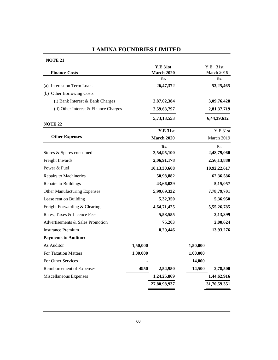| <b>NOTE 21</b>                        |          |                   |          |                  |
|---------------------------------------|----------|-------------------|----------|------------------|
|                                       |          | <b>Y.E 31st</b>   |          | Y.E 31st         |
| <b>Finance Costs</b>                  |          | <b>March 2020</b> |          | March 2019       |
| (a) Interest on Term Loans            |          | Rs.<br>26,47,372  |          | Rs.<br>53,25,465 |
|                                       |          |                   |          |                  |
| (b) Other Borrowing Costs             |          |                   |          |                  |
| (i) Bank Interest & Bank Charges      |          | 2,87,02,384       |          | 3,09,76,428      |
| (ii) Other Interest & Finance Charges |          | 2,59,63,797       |          | 2,81,37,719      |
| <b>NOTE 22</b>                        |          | 5,73,13,553       |          | 6,44,39,612      |
|                                       |          | <b>Y.E 31st</b>   |          | Y.E 31st         |
| <b>Other Expenses</b>                 |          | <b>March 2020</b> |          | March 2019       |
|                                       |          | Rs.               |          | Rs.              |
| Stores & Spares consumed              |          | 2,54,95,100       |          | 2,48,79,060      |
| Freight Inwards                       |          | 2,06,91,178       |          | 2,56,13,880      |
| Power & Fuel                          |          | 10,13,30,608      |          | 10,92,22,617     |
| Repairs to Machineries                |          | 50,98,882         |          | 62,36,586        |
| Repairs to Buildings                  |          | 43,66,039         |          | 5,15,057         |
| Other Manufacturing Expenses          |          | 5,99,69,332       |          | 7,78,79,701      |
| Lease rent on Building                |          | 5,32,350          |          | 5,36,950         |
| Freight Forwarding & Clearing         |          | 4,64,71,425       |          | 5,55,26,785      |
| Rates, Taxes & Licence Fees           |          | 5,58,555          |          | 3,13,399         |
| Advertisements & Sales Promotion      |          | 75,203            |          | 2,00,624         |
| <b>Insurance Premium</b>              |          | 8,29,446          |          | 13,93,276        |
| <b>Payments to Auditor:</b>           |          |                   |          |                  |
| As Auditor                            | 1,50,000 |                   | 1,50,000 |                  |
| <b>For Taxation Matters</b>           | 1,00,000 |                   | 1,00,000 |                  |
| For Other Services                    |          |                   | 14,000   |                  |
| Reimbursement of Expenses             | 4950     | 2,54,950          | 14,500   | 2,78,500         |
| Miscellaneous Expenses                |          | 1,24,25,869       |          | 1,44,62,916      |
|                                       |          | 27,80,98,937      |          | 31,70,59,351     |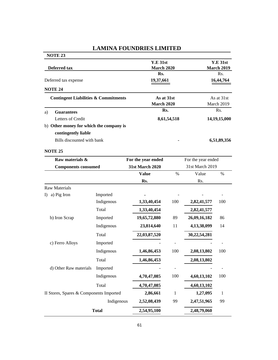| <b>NOTE 23</b>                                  |              |                    |              |                          |              |  |
|-------------------------------------------------|--------------|--------------------|--------------|--------------------------|--------------|--|
|                                                 |              | <b>Y.E 31st</b>    |              | <b>Y.E 31st</b>          |              |  |
| Deferred tax                                    |              | March 2020<br>Rs.  |              | <b>March 2019</b><br>Rs. |              |  |
| Deferred tax expense                            |              | 19,37,661          |              |                          | 16,44,764    |  |
| <b>NOTE 24</b>                                  |              |                    |              |                          |              |  |
| <b>Contingent Liabilities &amp; Commitments</b> |              |                    | As at 31st   |                          | As at 31st   |  |
|                                                 |              | <b>March 2020</b>  |              |                          | March 2019   |  |
| <b>Guarantees</b><br>a)                         |              | Rs.                |              |                          | Rs.          |  |
| Letters of Credit                               |              |                    | 8,61,54,518  |                          | 14,19,15,000 |  |
| b) Other money for which the company is         |              |                    |              |                          |              |  |
| contingently liable                             |              |                    |              |                          |              |  |
| Bills discounted with bank                      |              |                    |              |                          | 6,51,89,356  |  |
| <b>NOTE 25</b>                                  |              |                    |              |                          |              |  |
| Raw materials &                                 |              | For the year ended |              | For the year ended       |              |  |
| <b>Components consumed</b>                      |              | 31st March 2020    |              | 31st March 2019          |              |  |
|                                                 |              | <b>Value</b>       | $\%$         | Value                    | $\%$         |  |
|                                                 |              | Rs.                |              | Rs.                      |              |  |
| <b>Raw Materials</b>                            |              |                    |              |                          |              |  |
| a) Pig Iron<br>$\bf{I}$                         | Imported     |                    | 100          |                          | 100          |  |
|                                                 | Indigenous   | 1,33,40,454        |              | 2,82,41,577              |              |  |
|                                                 | Total        | 1,33,40,454        |              | 2,82,41,577              |              |  |
| b) Iron Scrap                                   | Imported     | 19,65,72,880       | 89           | 26,09,16,182             | 86           |  |
|                                                 | Indigenous   | 23,814,640         | 11           | 4,13,38,099              | 14           |  |
|                                                 | Total        | 22,03,87,520       |              | 30,22,54,281             |              |  |
| c) Ferro Alloys                                 | Imported     |                    |              |                          |              |  |
|                                                 | Indigenous   | 1,46,86,453        | 100          | 2,08,13,802              | 100          |  |
|                                                 | Total        | 1,46,86,453        |              | 2,08,13,802              |              |  |
| d) Other Raw materials                          | Imported     |                    |              |                          |              |  |
|                                                 | Indigenous   | 4,70,47,085        | $100\,$      | 4,60,13,102              | 100          |  |
|                                                 | Total        | 4,70,47,085        |              | 4,60,13,102              |              |  |
| II Stores, Spares & Components Imported         |              | 2,86,661           | $\mathbf{1}$ | 1,27,095                 | $\mathbf{1}$ |  |
|                                                 | Indigenous   | 2,52,08,439        | 99           | 2,47,51,965              | 99           |  |
|                                                 | <b>Total</b> | 2,54,95,100        |              | 2,48,79,060              |              |  |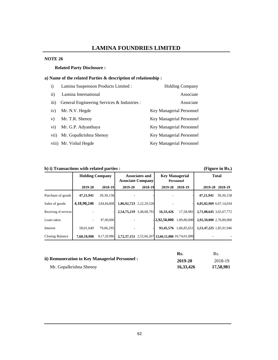### **NOTE 26**

#### **Related Party Disclosure :**

#### **a) Name of the related Parties & description of relationship :**

| $\mathbf{i}$       | Lamina Suspension Products Limited :        | <b>Holding Company</b>          |
|--------------------|---------------------------------------------|---------------------------------|
| $\rm ii)$          | Lamina International                        | Associate                       |
| $\overline{111}$ ) | General Engineering Services & Industries : | Associate                       |
| iv)                | Mr. N.V. Hegde                              | Key Managerial Personnel        |
| V)                 | Mr. T.R. Shenoy                             | Key Managerial Personnel        |
| $\rm vi)$          | Mr. G.P. Advanthaya                         | <b>Key Managerial Personnel</b> |
| vii)               | Mr. Gopalkrishna Shenov                     | <b>Key Managerial Personnel</b> |
|                    | viii) Mr. Vishal Hegde                      | Key Managerial Personnel        |

#### **b) i) Transactions with related parties : (Figure in Rs.)**

|                       | <b>Holding Company</b>   |             | <b>Associates and</b><br><b>Associate Company</b> |             | <b>Key Managerial</b><br>Personnel                |             | <b>Total</b>            |             |
|-----------------------|--------------------------|-------------|---------------------------------------------------|-------------|---------------------------------------------------|-------------|-------------------------|-------------|
|                       | 2019-20                  | 2018-19     | 2019-20                                           | 2018-19     | 2019-20                                           | 2018-19     | 2019-20                 | 2018-19     |
| Purchase of goods     | 47,21,941                | 39, 30, 158 |                                                   |             |                                                   |             | 47,21,941               | 39, 30, 158 |
| Sales of goods        | 4,18,90,246              | 3,84,84,808 | 1,86,92,723 2,22,29,526                           |             |                                                   |             | 6,05,82,969 6,07,14,034 |             |
| Receiving of services |                          |             | 2,54,75,219                                       | 3,48,08,791 | 16,33,426                                         | 17,58,981   | 2,71,08,645 3,65,67,772 |             |
| Loans taken           | $\overline{\phantom{a}}$ | 87,00,000   |                                                   |             | 2,92,50,000                                       | 1,89,80,000 | 2,92,50,000 2,76,80,000 |             |
| Interest              | 58,01,649                | 79,06,295   |                                                   |             | 93,45,576                                         | 1,06,85,651 | 1,51,47,225 1,85,91,946 |             |
| Closing Balance       | 7,68,18,908              | 8.17.20.986 |                                                   |             | 2,72,37,151 2,52,66,267 13,66,51,000 10.74,01,000 |             |                         |             |

|                                               | Rs.       | Rs.       |
|-----------------------------------------------|-----------|-----------|
| ii) Remuneration to Key Managerial Personnel: | 2019-20   | 2018-19   |
| Mr. Gopalkrishna Shenov                       | 16.33.426 | 17.58.981 |